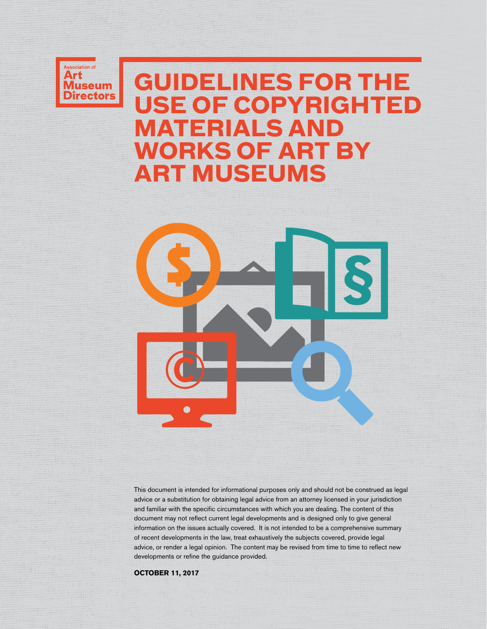

# **GUIDELINES FOR THE USE OF COPYRIGHTED MATERIALS AND WORKS OF ART BY ART MUSEUMS**



This document is intended for informational purposes only and should not be construed as legal advice or a substitution for obtaining legal advice from an attorney licensed in your jurisdiction and familiar with the specific circumstances with which you are dealing. The content of this document may not reflect current legal developments and is designed only to give general information on the issues actually covered. It is not intended to be a comprehensive summary of recent developments in the law, treat exhaustively the subjects covered, provide legal advice, or render a legal opinion. The content may be revised from time to time to reflect new developments or refine the guidance provided.

**OCTOBER 11, 2017**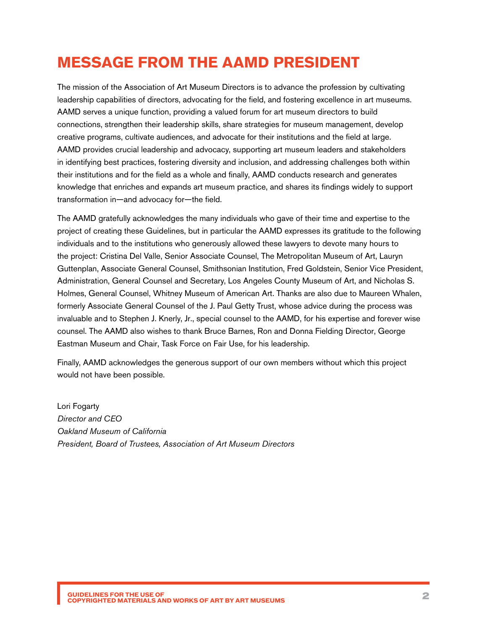## **MESSAGE FROM THE AAMD PRESIDENT**

The mission of the Association of Art Museum Directors is to advance the profession by cultivating leadership capabilities of directors, advocating for the field, and fostering excellence in art museums. AAMD serves a unique function, providing a valued forum for art museum directors to build connections, strengthen their leadership skills, share strategies for museum management, develop creative programs, cultivate audiences, and advocate for their institutions and the field at large. AAMD provides crucial leadership and advocacy, supporting art museum leaders and stakeholders in identifying best practices, fostering diversity and inclusion, and addressing challenges both within their institutions and for the field as a whole and finally, AAMD conducts research and generates knowledge that enriches and expands art museum practice, and shares its findings widely to support transformation in—and advocacy for—the field.

The AAMD gratefully acknowledges the many individuals who gave of their time and expertise to the project of creating these Guidelines, but in particular the AAMD expresses its gratitude to the following individuals and to the institutions who generously allowed these lawyers to devote many hours to the project: Cristina Del Valle, Senior Associate Counsel, The Metropolitan Museum of Art, Lauryn Guttenplan, Associate General Counsel, Smithsonian Institution, Fred Goldstein, Senior Vice President, Administration, General Counsel and Secretary, Los Angeles County Museum of Art, and Nicholas S. Holmes, General Counsel, Whitney Museum of American Art. Thanks are also due to Maureen Whalen, formerly Associate General Counsel of the J. Paul Getty Trust, whose advice during the process was invaluable and to Stephen J. Knerly, Jr., special counsel to the AAMD, for his expertise and forever wise counsel. The AAMD also wishes to thank Bruce Barnes, Ron and Donna Fielding Director, George Eastman Museum and Chair, Task Force on Fair Use, for his leadership.

Finally, AAMD acknowledges the generous support of our own members without which this project would not have been possible.

Lori Fogarty *Director and CEO Oakland Museum of California President, Board of Trustees, Association of Art Museum Directors*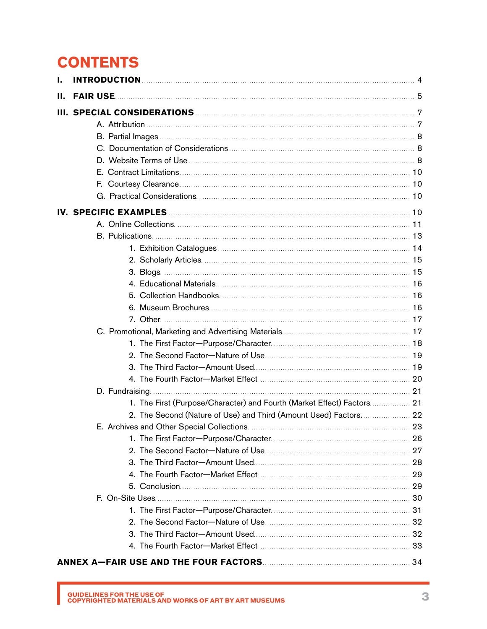# **CONTENTS**

| L. | <b>INTRODUCTION</b> 24                                                 |  |
|----|------------------------------------------------------------------------|--|
| н. |                                                                        |  |
|    |                                                                        |  |
|    |                                                                        |  |
|    |                                                                        |  |
|    |                                                                        |  |
|    |                                                                        |  |
|    |                                                                        |  |
|    |                                                                        |  |
|    |                                                                        |  |
|    |                                                                        |  |
|    |                                                                        |  |
|    |                                                                        |  |
|    |                                                                        |  |
|    |                                                                        |  |
|    |                                                                        |  |
|    |                                                                        |  |
|    |                                                                        |  |
|    |                                                                        |  |
|    |                                                                        |  |
|    |                                                                        |  |
|    |                                                                        |  |
|    |                                                                        |  |
|    |                                                                        |  |
|    |                                                                        |  |
|    |                                                                        |  |
|    | 1. The First (Purpose/Character) and Fourth (Market Effect) Factors 21 |  |
|    | 2. The Second (Nature of Use) and Third (Amount Used) Factors 22       |  |
|    |                                                                        |  |
|    |                                                                        |  |
|    |                                                                        |  |
|    |                                                                        |  |
|    |                                                                        |  |
|    |                                                                        |  |
|    |                                                                        |  |
|    |                                                                        |  |
|    |                                                                        |  |
|    |                                                                        |  |
|    |                                                                        |  |
|    |                                                                        |  |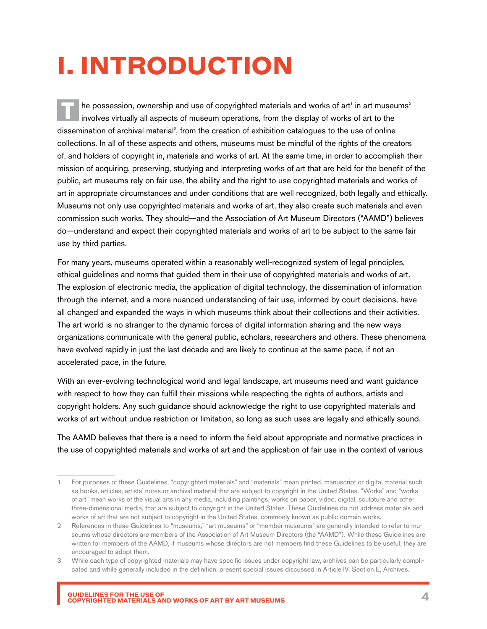# **I. INTRODUCTION**

T **T he possession, ownership and use of copyrighted materials and works of art<sup>1</sup> in art museum operations, from the display of works of art to the** he possession, ownership and use of copyrighted materials and works of art' in art museums<sup>2</sup> dissemination of archival material<sup>3</sup>, from the creation of exhibition catalogues to the use of online collections. In all of these aspects and others, museums must be mindful of the rights of the creators of, and holders of copyright in, materials and works of art. At the same time, in order to accomplish their mission of acquiring, preserving, studying and interpreting works of art that are held for the benefit of the public, art museums rely on fair use, the ability and the right to use copyrighted materials and works of art in appropriate circumstances and under conditions that are well recognized, both legally and ethically. Museums not only use copyrighted materials and works of art, they also create such materials and even commission such works. They should—and the Association of Art Museum Directors ("AAMD") believes do—understand and expect their copyrighted materials and works of art to be subject to the same fair use by third parties.

For many years, museums operated within a reasonably well-recognized system of legal principles, ethical guidelines and norms that guided them in their use of copyrighted materials and works of art. The explosion of electronic media, the application of digital technology, the dissemination of information through the internet, and a more nuanced understanding of fair use, informed by court decisions, have all changed and expanded the ways in which museums think about their collections and their activities. The art world is no stranger to the dynamic forces of digital information sharing and the new ways organizations communicate with the general public, scholars, researchers and others. These phenomena have evolved rapidly in just the last decade and are likely to continue at the same pace, if not an accelerated pace, in the future.

With an ever-evolving technological world and legal landscape, art museums need and want guidance with respect to how they can fulfill their missions while respecting the rights of authors, artists and copyright holders. Any such guidance should acknowledge the right to use copyrighted materials and works of art without undue restriction or limitation, so long as such uses are legally and ethically sound.

The AAMD believes that there is a need to inform the field about appropriate and normative practices in the use of copyrighted materials and works of art and the application of fair use in the context of various

<sup>1</sup> For purposes of these Guidelines, "copyrighted materials" and "materials" mean printed, manuscript or digital material such as books, articles, artists' notes or archival material that are subject to copyright in the United States. "Works" and "works of art" mean works of the visual arts in any media, including paintings, works on paper, video, digital, sculpture and other three-dimensional media, that are subject to copyright in the United States. These Guidelines do not address materials and works of art that are not subject to copyright in the United States, commonly known as public domain works.

<sup>2</sup> References in these Guidelines to "museums," "art museums" or "member museums" are generally intended to refer to museums whose directors are members of the Association of Art Museum Directors (the "AAMD"). While these Guidelines are written for members of the AAMD, if museums whose directors are not members find these Guidelines to be useful, they are encouraged to adopt them.

<sup>3</sup> While each type of copyrighted materials may have specific issues under copyright law, archives can be particularly complicated and while generally included in the definition, present special issues discussed in Article [IV, Section E, Archives.](#page-22-0)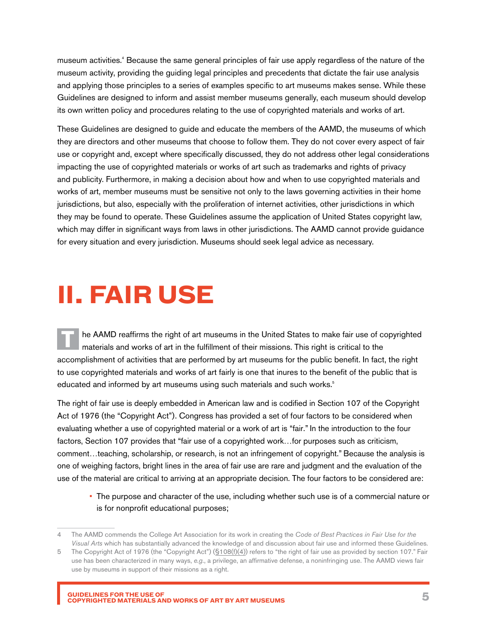<span id="page-4-0"></span>museum activities.4 Because the same general principles of fair use apply regardless of the nature of the museum activity, providing the guiding legal principles and precedents that dictate the fair use analysis and applying those principles to a series of examples specific to art museums makes sense. While these Guidelines are designed to inform and assist member museums generally, each museum should develop its own written policy and procedures relating to the use of copyrighted materials and works of art.

These Guidelines are designed to guide and educate the members of the AAMD, the museums of which they are directors and other museums that choose to follow them. They do not cover every aspect of fair use or copyright and, except where specifically discussed, they do not address other legal considerations impacting the use of copyrighted materials or works of art such as trademarks and rights of privacy and publicity. Furthermore, in making a decision about how and when to use copyrighted materials and works of art, member museums must be sensitive not only to the laws governing activities in their home jurisdictions, but also, especially with the proliferation of internet activities, other jurisdictions in which they may be found to operate. These Guidelines assume the application of United States copyright law, which may differ in significant ways from laws in other jurisdictions. The AAMD cannot provide guidance for every situation and every jurisdiction. Museums should seek legal advice as necessary.

# **II. FAIR USE**

**T** he AAMD reaffirms the right of art museums in the United States to make fair use of copyrighted materials and works of art in the fulfillment of their missions. This right is critical to the accomplishment of activities that are performed by art museums for the public benefit. In fact, the right to use copyrighted materials and works of art fairly is one that inures to the benefit of the public that is educated and informed by art museums using such materials and such works.<sup>5</sup>

The right of fair use is deeply embedded in American law and is codified in Section 107 of the Copyright Act of 1976 (the "Copyright Act"). Congress has provided a set of four factors to be considered when evaluating whether a use of copyrighted material or a work of art is "fair." In the introduction to the four factors, Section 107 provides that "fair use of a copyrighted work…for purposes such as criticism, comment…teaching, scholarship, or research, is not an infringement of copyright." Because the analysis is one of weighing factors, bright lines in the area of fair use are rare and judgment and the evaluation of the use of the material are critical to arriving at an appropriate decision. The four factors to be considered are:

• The purpose and character of the use, including whether such use is of a commercial nature or is for nonprofit educational purposes;

<sup>4</sup> The AAMD commends the College Art Association for its work in creating the *Code of Best Practices in Fair Use for the Visual Arts* which has substantially advanced the knowledge of and discussion about fair use and informed these Guidelines.

<sup>5</sup> The Copyright Act of 1976 (the "Copyright Act") ([§108\(f\)\(4\)\)](https://www.copyright.gov/title17/92chap1.html#108) refers to "the right of fair use as provided by section 107." Fair use has been characterized in many ways, *e.g.*, a privilege, an affirmative defense, a noninfringing use. The AAMD views fair use by museums in support of their missions as a right.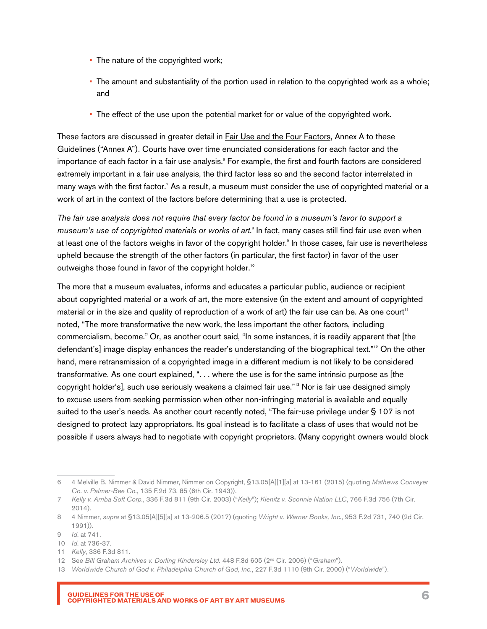- The nature of the copyrighted work;
- The amount and substantiality of the portion used in relation to the copyrighted work as a whole; and
- The effect of the use upon the potential market for or value of the copyrighted work.

These factors are discussed in greater detail in [Fair Use and the Four Factors,](#page-33-0) Annex A to these Guidelines ("Annex A"). Courts have over time enunciated considerations for each factor and the importance of each factor in a fair use analysis.<sup>6</sup> For example, the first and fourth factors are considered extremely important in a fair use analysis, the third factor less so and the second factor interrelated in many ways with the first factor.<sup>7</sup> As a result, a museum must consider the use of copyrighted material or a work of art in the context of the factors before determining that a use is protected.

*The fair use analysis does not require that every factor be found in a museum's favor to support a*  museum's use of copyrighted materials or works of art.<sup>8</sup> In fact, many cases still find fair use even when at least one of the factors weighs in favor of the copyright holder.<sup>9</sup> In those cases, fair use is nevertheless upheld because the strength of the other factors (in particular, the first factor) in favor of the user outweighs those found in favor of the copyright holder.<sup>10</sup>

The more that a museum evaluates, informs and educates a particular public, audience or recipient about copyrighted material or a work of art, the more extensive (in the extent and amount of copyrighted material or in the size and quality of reproduction of a work of art) the fair use can be. As one court<sup>11</sup> noted, "The more transformative the new work, the less important the other factors, including commercialism, become." Or, as another court said, "In some instances, it is readily apparent that [the defendant's] image display enhances the reader's understanding of the biographical text."<sup>12</sup> On the other hand, mere retransmission of a copyrighted image in a different medium is not likely to be considered transformative. As one court explained, ". . . where the use is for the same intrinsic purpose as [the copyright holder's], such use seriously weakens a claimed fair use."13 Nor is fair use designed simply to excuse users from seeking permission when other non-infringing material is available and equally suited to the user's needs. As another court recently noted, "The fair-use privilege under § 107 is not designed to protect lazy appropriators. Its goal instead is to facilitate a class of uses that would not be possible if users always had to negotiate with copyright proprietors. (Many copyright owners would block

<sup>6</sup> 4 Melville B. Nimmer & David Nimmer, Nimmer on Copyright, §13.05[A][1][a] at 13-161 (2015) (quoting *Mathews Conveyer Co. v. Palmer-Bee Co.*, 135 F.2d 73, 85 (6th Cir. 1943)).

<sup>7</sup> *Kelly v. Arriba Soft Corp.*, 336 F.3d 811 (9th Cir. 2003) ("*Kelly*"); *Kienitz v. Sconnie Nation LLC*, 766 F.3d 756 (7th Cir. 2014).

<sup>8</sup> 4 Nimmer, *supra* at §13.05[A][5][a] at 13-206.5 (2017) (quoting *Wright v. Warner Books, Inc.*, 953 F.2d 731, 740 (2d Cir. 1991)).

<sup>9</sup> *Id*. at 741.

<sup>10</sup> *Id*. at 736-37.

<sup>11</sup> *Kelly*, 336 F.3d 811.

<sup>12</sup> See *Bill Graham Archives v. Dorling Kindersley Ltd.* 448 F.3d 605 (2nd Cir. 2006) ("*Graham*").

<sup>13</sup> *Worldwide Church of God v. Philadelphia Church of God, Inc.*, 227 F.3d 1110 (9th Cir. 2000) ("*Worldwide*").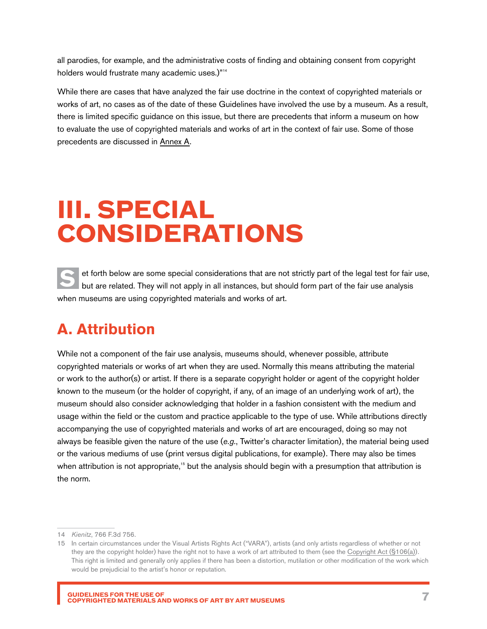<span id="page-6-0"></span>all parodies, for example, and the administrative costs of finding and obtaining consent from copyright holders would frustrate many academic uses.)"<sup>14</sup>

While there are cases that have analyzed the fair use doctrine in the context of copyrighted materials or works of art, no cases as of the date of these Guidelines have involved the use by a museum. As a result, there is limited specific guidance on this issue, but there are precedents that inform a museum on how to evaluate the use of copyrighted materials and works of art in the context of fair use. Some of those precedents are discussed in [Annex A](#page-33-0).

# **III. SPECIAL CONSIDERATIONS**

et forth below are some special considerations that are not strictly part of the legal test for fair use, but are related. They will not apply in all instances, but should form part of the fair use analysis when museums are using copyrighted materials and works of art.

# **A. Attribution**

While not a component of the fair use analysis, museums should, whenever possible, attribute copyrighted materials or works of art when they are used. Normally this means attributing the material or work to the author(s) or artist. If there is a separate copyright holder or agent of the copyright holder known to the museum (or the holder of copyright, if any, of an image of an underlying work of art), the museum should also consider acknowledging that holder in a fashion consistent with the medium and usage within the field or the custom and practice applicable to the type of use. While attributions directly accompanying the use of copyrighted materials and works of art are encouraged, doing so may not always be feasible given the nature of the use (*e.g.*, Twitter's character limitation), the material being used or the various mediums of use (print versus digital publications, for example). There may also be times when attribution is not appropriate,<sup>15</sup> but the analysis should begin with a presumption that attribution is the norm.

<sup>14</sup> *Kienitz*, 766 F.3d 756.

<sup>15</sup> In certain circumstances under the Visual Artists Rights Act ("VARA"), artists (and only artists regardless of whether or not they are the copyright holder) have the right not to have a work of art attributed to them (see the [Copyright Act \(§106\(a\)](https://www.copyright.gov/title17/92chap1.html#106)). This right is limited and generally only applies if there has been a distortion, mutilation or other modification of the work which would be prejudicial to the artist's honor or reputation.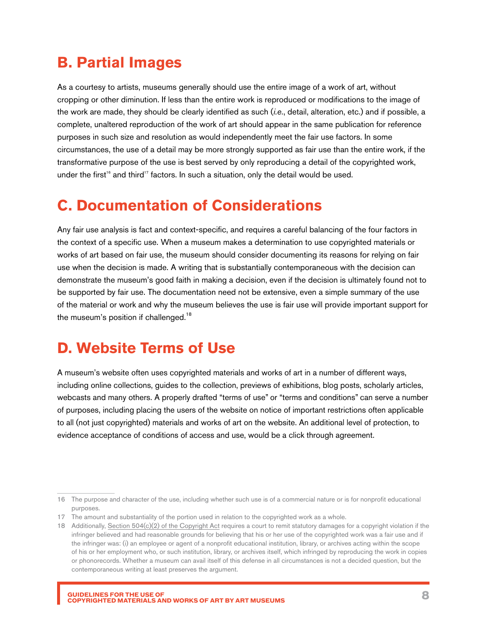### **B. Partial Images**

As a courtesy to artists, museums generally should use the entire image of a work of art, without cropping or other diminution. If less than the entire work is reproduced or modifications to the image of the work are made, they should be clearly identified as such (*i.e*., detail, alteration, etc.) and if possible, a complete, unaltered reproduction of the work of art should appear in the same publication for reference purposes in such size and resolution as would independently meet the fair use factors. In some circumstances, the use of a detail may be more strongly supported as fair use than the entire work, if the transformative purpose of the use is best served by only reproducing a detail of the copyrighted work, under the first<sup>16</sup> and third<sup>17</sup> factors. In such a situation, only the detail would be used.

### **C. Documentation of Considerations**

Any fair use analysis is fact and context-specific, and requires a careful balancing of the four factors in the context of a specific use. When a museum makes a determination to use copyrighted materials or works of art based on fair use, the museum should consider documenting its reasons for relying on fair use when the decision is made. A writing that is substantially contemporaneous with the decision can demonstrate the museum's good faith in making a decision, even if the decision is ultimately found not to be supported by fair use. The documentation need not be extensive, even a simple summary of the use of the material or work and why the museum believes the use is fair use will provide important support for the museum's position if challenged.<sup>18</sup>

### **D. Website Terms of Use**

A museum's website often uses copyrighted materials and works of art in a number of different ways, including online collections, guides to the collection, previews of exhibitions, blog posts, scholarly articles, webcasts and many others. A properly drafted "terms of use" or "terms and conditions" can serve a number of purposes, including placing the users of the website on notice of important restrictions often applicable to all (not just copyrighted) materials and works of art on the website. An additional level of protection, to evidence acceptance of conditions of access and use, would be a click through agreement.

<sup>16</sup> The purpose and character of the use, including whether such use is of a commercial nature or is for nonprofit educational purposes.

<sup>17</sup> The amount and substantiality of the portion used in relation to the copyrighted work as a whole.

<sup>18</sup> Additionally, [Section 504\(c\)\(2\) of the Copyright Act](https://www.copyright.gov/title17/92chap5.html#504) requires a court to remit statutory damages for a copyright violation if the infringer believed and had reasonable grounds for believing that his or her use of the copyrighted work was a fair use and if the infringer was: (i) an employee or agent of a nonprofit educational institution, library, or archives acting within the scope of his or her employment who, or such institution, library, or archives itself, which infringed by reproducing the work in copies or phonorecords. Whether a museum can avail itself of this defense in all circumstances is not a decided question, but the contemporaneous writing at least preserves the argument.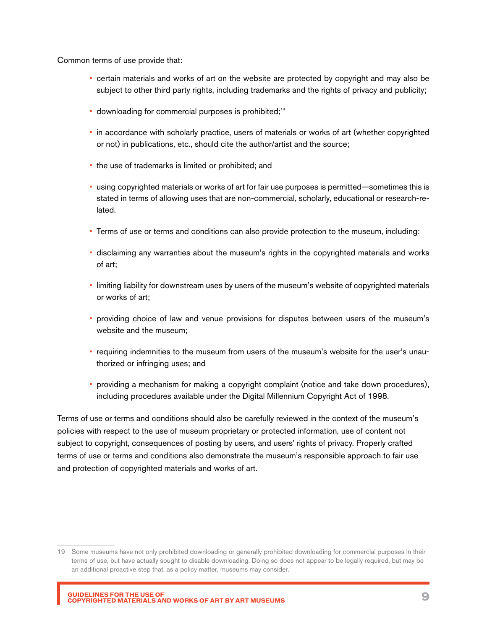Common terms of use provide that:

- certain materials and works of art on the website are protected by copyright and may also be subject to other third party rights, including trademarks and the rights of privacy and publicity;
- downloading for commercial purposes is prohibited;<sup>19</sup>
- in accordance with scholarly practice, users of materials or works of art (whether copyrighted or not) in publications, etc., should cite the author/artist and the source;
- the use of trademarks is limited or prohibited; and
- using copyrighted materials or works of art for fair use purposes is permitted—sometimes this is stated in terms of allowing uses that are non-commercial, scholarly, educational or research-related.
- Terms of use or terms and conditions can also provide protection to the museum, including:
- disclaiming any warranties about the museum's rights in the copyrighted materials and works of art;
- limiting liability for downstream uses by users of the museum's website of copyrighted materials or works of art;
- providing choice of law and venue provisions for disputes between users of the museum's website and the museum;
- requiring indemnities to the museum from users of the museum's website for the user's unauthorized or infringing uses; and
- providing a mechanism for making a copyright complaint (notice and take down procedures), including procedures available under the Digital Millennium Copyright Act of 1998.

Terms of use or terms and conditions should also be carefully reviewed in the context of the museum's policies with respect to the use of museum proprietary or protected information, use of content not subject to copyright, consequences of posting by users, and users' rights of privacy. Properly crafted terms of use or terms and conditions also demonstrate the museum's responsible approach to fair use and protection of copyrighted materials and works of art.

<sup>19</sup> Some museums have not only prohibited downloading or generally prohibited downloading for commercial purposes in their terms of use, but have actually sought to disable downloading. Doing so does not appear to be legally required, but may be an additional proactive step that, as a policy matter, museums may consider.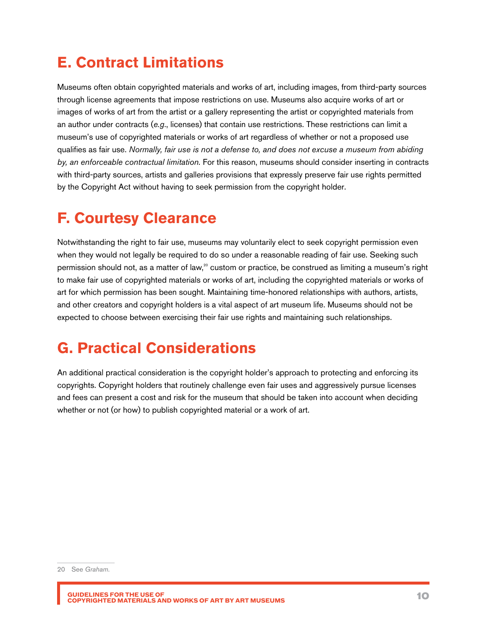# **E. Contract Limitations**

Museums often obtain copyrighted materials and works of art, including images, from third-party sources through license agreements that impose restrictions on use. Museums also acquire works of art or images of works of art from the artist or a gallery representing the artist or copyrighted materials from an author under contracts (*e.g*., licenses) that contain use restrictions. These restrictions can limit a museum's use of copyrighted materials or works of art regardless of whether or not a proposed use qualifies as fair use. *Normally, fair use is not a defense to, and does not excuse a museum from abiding by, an enforceable contractual limitation.* For this reason, museums should consider inserting in contracts with third-party sources, artists and galleries provisions that expressly preserve fair use rights permitted by the Copyright Act without having to seek permission from the copyright holder.

## **F. Courtesy Clearance**

Notwithstanding the right to fair use, museums may voluntarily elect to seek copyright permission even when they would not legally be required to do so under a reasonable reading of fair use. Seeking such permission should not, as a matter of law,<sup>20</sup> custom or practice, be construed as limiting a museum's right to make fair use of copyrighted materials or works of art, including the copyrighted materials or works of art for which permission has been sought. Maintaining time-honored relationships with authors, artists, and other creators and copyright holders is a vital aspect of art museum life. Museums should not be expected to choose between exercising their fair use rights and maintaining such relationships.

## **G. Practical Considerations**

An additional practical consideration is the copyright holder's approach to protecting and enforcing its copyrights. Copyright holders that routinely challenge even fair uses and aggressively pursue licenses and fees can present a cost and risk for the museum that should be taken into account when deciding whether or not (or how) to publish copyrighted material or a work of art.

<sup>20</sup> See *Graham*.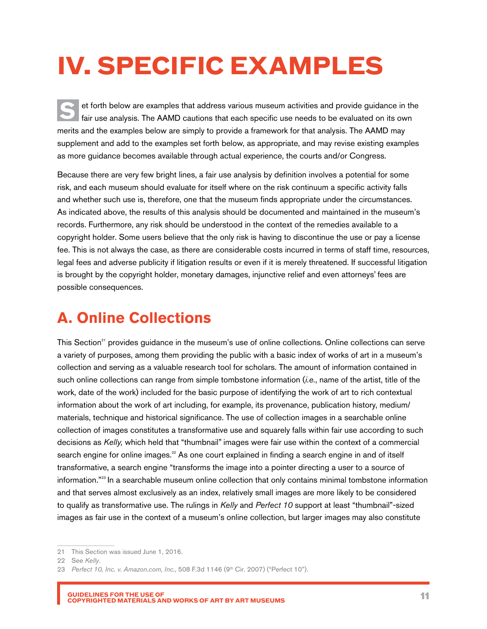# <span id="page-10-0"></span>**IV. SPECIFIC EXAMPLES**

et forth below are examples that address various museum activities and provide guidance in the fair use analysis. The AAMD cautions that each specific use needs to be evaluated on its own merits and the examples below are simply to provide a framework for that analysis. The AAMD may supplement and add to the examples set forth below, as appropriate, and may revise existing examples as more guidance becomes available through actual experience, the courts and/or Congress.

Because there are very few bright lines, a fair use analysis by definition involves a potential for some risk, and each museum should evaluate for itself where on the risk continuum a specific activity falls and whether such use is, therefore, one that the museum finds appropriate under the circumstances. As indicated above, the results of this analysis should be documented and maintained in the museum's records. Furthermore, any risk should be understood in the context of the remedies available to a copyright holder. Some users believe that the only risk is having to discontinue the use or pay a license fee. This is not always the case, as there are considerable costs incurred in terms of staff time, resources, legal fees and adverse publicity if litigation results or even if it is merely threatened. If successful litigation is brought by the copyright holder, monetary damages, injunctive relief and even attorneys' fees are possible consequences.

## **A. Online Collections**

This Section<sup>21</sup> provides guidance in the museum's use of online collections. Online collections can serve a variety of purposes, among them providing the public with a basic index of works of art in a museum's collection and serving as a valuable research tool for scholars. The amount of information contained in such online collections can range from simple tombstone information (*i.e.*, name of the artist, title of the work, date of the work) included for the basic purpose of identifying the work of art to rich contextual information about the work of art including, for example, its provenance, publication history, medium/ materials, technique and historical significance. The use of collection images in a searchable online collection of images constitutes a transformative use and squarely falls within fair use according to such decisions as *Kelly,* which held that "thumbnail" images were fair use within the context of a commercial search engine for online images.<sup>22</sup> As one court explained in finding a search engine in and of itself transformative, a search engine "transforms the image into a pointer directing a user to a source of information."23 In a searchable museum online collection that only contains minimal tombstone information and that serves almost exclusively as an index, relatively small images are more likely to be considered to qualify as transformative use. The rulings in *Kelly* and *Perfect 10* support at least "thumbnail"-sized images as fair use in the context of a museum's online collection, but larger images may also constitute

<sup>21</sup> This Section was issued June 1, 2016.

<sup>22</sup> See *Kelly*.

<sup>23</sup> *Perfect 10, Inc. v. Amazon.com, Inc.*, 508 F.3d 1146 (9<sup>th</sup> Cir. 2007) ("Perfect 10").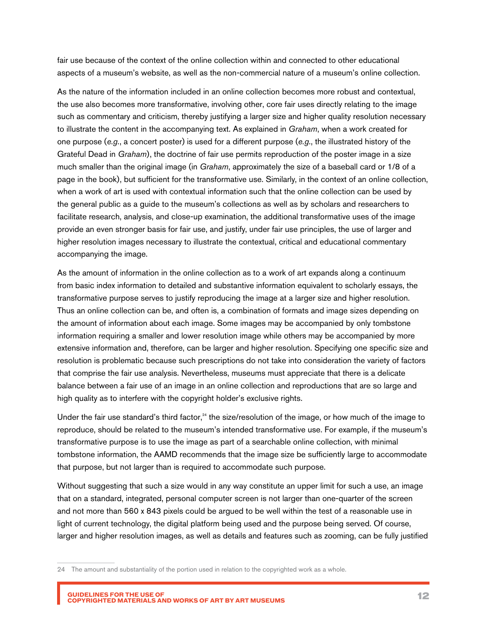fair use because of the context of the online collection within and connected to other educational aspects of a museum's website, as well as the non-commercial nature of a museum's online collection.

As the nature of the information included in an online collection becomes more robust and contextual, the use also becomes more transformative, involving other, core fair uses directly relating to the image such as commentary and criticism, thereby justifying a larger size and higher quality resolution necessary to illustrate the content in the accompanying text. As explained in *Graham*, when a work created for one purpose (*e.g.*, a concert poster) is used for a different purpose (*e.g.*, the illustrated history of the Grateful Dead in *Graham*), the doctrine of fair use permits reproduction of the poster image in a size much smaller than the original image (in *Graham*, approximately the size of a baseball card or 1/8 of a page in the book), but sufficient for the transformative use. Similarly, in the context of an online collection, when a work of art is used with contextual information such that the online collection can be used by the general public as a guide to the museum's collections as well as by scholars and researchers to facilitate research, analysis, and close-up examination, the additional transformative uses of the image provide an even stronger basis for fair use, and justify, under fair use principles, the use of larger and higher resolution images necessary to illustrate the contextual, critical and educational commentary accompanying the image.

As the amount of information in the online collection as to a work of art expands along a continuum from basic index information to detailed and substantive information equivalent to scholarly essays, the transformative purpose serves to justify reproducing the image at a larger size and higher resolution. Thus an online collection can be, and often is, a combination of formats and image sizes depending on the amount of information about each image. Some images may be accompanied by only tombstone information requiring a smaller and lower resolution image while others may be accompanied by more extensive information and, therefore, can be larger and higher resolution. Specifying one specific size and resolution is problematic because such prescriptions do not take into consideration the variety of factors that comprise the fair use analysis. Nevertheless, museums must appreciate that there is a delicate balance between a fair use of an image in an online collection and reproductions that are so large and high quality as to interfere with the copyright holder's exclusive rights.

Under the fair use standard's third factor, $^{24}$  the size/resolution of the image, or how much of the image to reproduce, should be related to the museum's intended transformative use. For example, if the museum's transformative purpose is to use the image as part of a searchable online collection, with minimal tombstone information, the AAMD recommends that the image size be sufficiently large to accommodate that purpose, but not larger than is required to accommodate such purpose.

Without suggesting that such a size would in any way constitute an upper limit for such a use, an image that on a standard, integrated, personal computer screen is not larger than one-quarter of the screen and not more than 560 x 843 pixels could be argued to be well within the test of a reasonable use in light of current technology, the digital platform being used and the purpose being served. Of course, larger and higher resolution images, as well as details and features such as zooming, can be fully justified

<sup>24</sup> The amount and substantiality of the portion used in relation to the copyrighted work as a whole.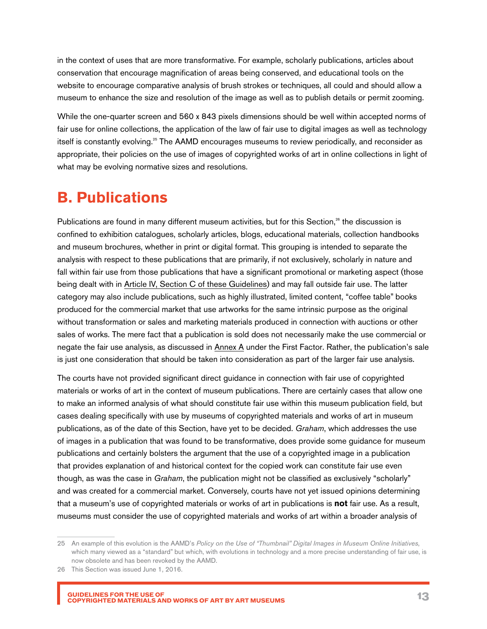<span id="page-12-0"></span>in the context of uses that are more transformative. For example, scholarly publications, articles about conservation that encourage magnification of areas being conserved, and educational tools on the website to encourage comparative analysis of brush strokes or techniques, all could and should allow a museum to enhance the size and resolution of the image as well as to publish details or permit zooming.

While the one-quarter screen and 560 x 843 pixels dimensions should be well within accepted norms of fair use for online collections, the application of the law of fair use to digital images as well as technology itself is constantly evolving.<sup>25</sup> The AAMD encourages museums to review periodically, and reconsider as appropriate, their policies on the use of images of copyrighted works of art in online collections in light of what may be evolving normative sizes and resolutions.

## **B. Publications**

Publications are found in many different museum activities, but for this Section,<sup>26</sup> the discussion is confined to exhibition catalogues, scholarly articles, blogs, educational materials, collection handbooks and museum brochures, whether in print or digital format. This grouping is intended to separate the analysis with respect to these publications that are primarily, if not exclusively, scholarly in nature and fall within fair use from those publications that have a significant promotional or marketing aspect (those being dealt with in Article IV, Section [C of these Guidelines\)](#page-16-0) and may fall outside fair use. The latter category may also include publications, such as highly illustrated, limited content, "coffee table" books produced for the commercial market that use artworks for the same intrinsic purpose as the original without transformation or sales and marketing materials produced in connection with auctions or other sales of works. The mere fact that a publication is sold does not necessarily make the use commercial or negate the fair use analysis, as discussed in [Annex](#page-33-0) A under the First Factor. Rather, the publication's sale is just one consideration that should be taken into consideration as part of the larger fair use analysis.

The courts have not provided significant direct guidance in connection with fair use of copyrighted materials or works of art in the context of museum publications. There are certainly cases that allow one to make an informed analysis of what should constitute fair use within this museum publication field, but cases dealing specifically with use by museums of copyrighted materials and works of art in museum publications, as of the date of this Section, have yet to be decided. *Graham*, which addresses the use of images in a publication that was found to be transformative, does provide some guidance for museum publications and certainly bolsters the argument that the use of a copyrighted image in a publication that provides explanation of and historical context for the copied work can constitute fair use even though, as was the case in *Graham*, the publication might not be classified as exclusively "scholarly" and was created for a commercial market. Conversely, courts have not yet issued opinions determining that a museum's use of copyrighted materials or works of art in publications is **not** fair use. As a result, museums must consider the use of copyrighted materials and works of art within a broader analysis of

<sup>25</sup> An example of this evolution is the AAMD's *Policy on the Use of "Thumbnail" Digital Images in Museum Online Initiatives*, which many viewed as a "standard" but which, with evolutions in technology and a more precise understanding of fair use, is now obsolete and has been revoked by the AAMD.

<sup>26</sup> This Section was issued June 1, 2016.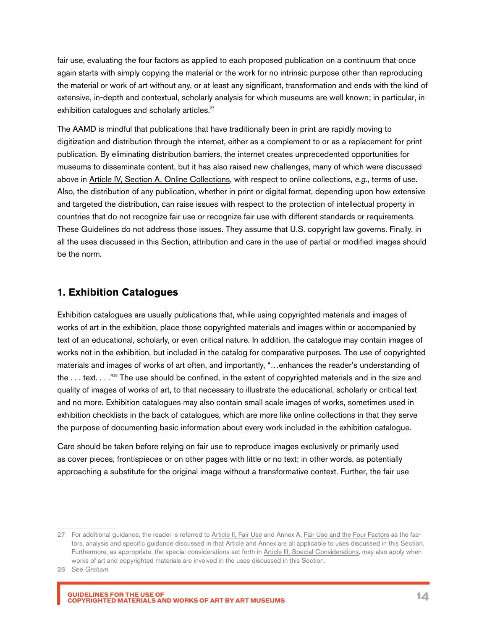fair use, evaluating the four factors as applied to each proposed publication on a continuum that once again starts with simply copying the material or the work for no intrinsic purpose other than reproducing the material or work of art without any, or at least any significant, transformation and ends with the kind of extensive, in-depth and contextual, scholarly analysis for which museums are well known; in particular, in exhibition catalogues and scholarly articles.<sup>27</sup>

The AAMD is mindful that publications that have traditionally been in print are rapidly moving to digitization and distribution through the internet, either as a complement to or as a replacement for print publication. By eliminating distribution barriers, the internet creates unprecedented opportunities for museums to disseminate content, but it has also raised new challenges, many of which were discussed above in Article IV, Section [A, Online Collections](#page-10-0), with respect to online collections, *e.g.*, terms of use. Also, the distribution of any publication, whether in print or digital format, depending upon how extensive and targeted the distribution, can raise issues with respect to the protection of intellectual property in countries that do not recognize fair use or recognize fair use with different standards or requirements. These Guidelines do not address those issues. They assume that U.S. copyright law governs. Finally, in all the uses discussed in this Section, attribution and care in the use of partial or modified images should be the norm.

#### **1. Exhibition Catalogues**

Exhibition catalogues are usually publications that, while using copyrighted materials and images of works of art in the exhibition, place those copyrighted materials and images within or accompanied by text of an educational, scholarly, or even critical nature. In addition, the catalogue may contain images of works not in the exhibition, but included in the catalog for comparative purposes. The use of copyrighted materials and images of works of art often, and importantly, "…enhances the reader's understanding of the . . . text. . . . "<sup>28</sup> The use should be confined, in the extent of copyrighted materials and in the size and quality of images of works of art, to that necessary to illustrate the educational, scholarly or critical text and no more. Exhibition catalogues may also contain small scale images of works, sometimes used in exhibition checklists in the back of catalogues, which are more like online collections in that they serve the purpose of documenting basic information about every work included in the exhibition catalogue.

Care should be taken before relying on fair use to reproduce images exclusively or primarily used as cover pieces, frontispieces or on other pages with little or no text; in other words, as potentially approaching a substitute for the original image without a transformative context. Further, the fair use

<sup>27</sup> For additional guidance, the reader is referred to Article II, [Fair Use](#page-4-0) and Annex A, [Fair Use and the Four Factors](#page-33-0) as the factors, analysis and specific guidance discussed in that Article and Annex are all applicable to uses discussed in this Section. Furthermore, as appropriate, the special considerations set forth in Article III, [Special Considerations](#page-6-0), may also apply when works of art and copyrighted materials are involved in the uses discussed in this Section.

<sup>28</sup> See *Graham*.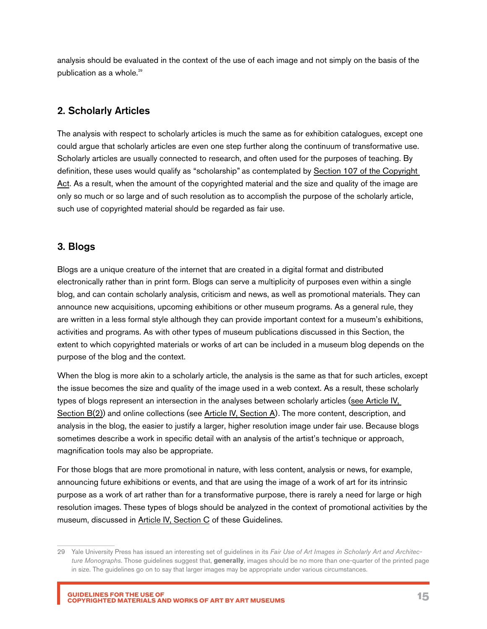analysis should be evaluated in the context of the use of each image and not simply on the basis of the publication as a whole.<sup>29</sup>

#### 2. Scholarly Articles

The analysis with respect to scholarly articles is much the same as for exhibition catalogues, except one could argue that scholarly articles are even one step further along the continuum of transformative use. Scholarly articles are usually connected to research, and often used for the purposes of teaching. By definition, these uses would qualify as "scholarship" as contemplated by Section [107 of the Copyright](https://www.copyright.gov/title17/92chap1.html#107)  [Act](https://www.copyright.gov/title17/92chap1.html#107). As a result, when the amount of the copyrighted material and the size and quality of the image are only so much or so large and of such resolution as to accomplish the purpose of the scholarly article, such use of copyrighted material should be regarded as fair use.

#### 3. Blogs

Blogs are a unique creature of the internet that are created in a digital format and distributed electronically rather than in print form. Blogs can serve a multiplicity of purposes even within a single blog, and can contain scholarly analysis, criticism and news, as well as promotional materials. They can announce new acquisitions, upcoming exhibitions or other museum programs. As a general rule, they are written in a less formal style although they can provide important context for a museum's exhibitions, activities and programs. As with other types of museum publications discussed in this Section, the extent to which copyrighted materials or works of art can be included in a museum blog depends on the purpose of the blog and the context.

When the blog is more akin to a scholarly article, the analysis is the same as that for such articles, except the issue becomes the size and quality of the image used in a web context. As a result, these scholarly types of blogs represent an intersection in the analyses between scholarly articles (see Article IV, Section B(2)) and online collections (see Article [IV, Section](#page-10-0) A). The more content, description, and analysis in the blog, the easier to justify a larger, higher resolution image under fair use. Because blogs sometimes describe a work in specific detail with an analysis of the artist's technique or approach, magnification tools may also be appropriate.

For those blogs that are more promotional in nature, with less content, analysis or news, for example, announcing future exhibitions or events, and that are using the image of a work of art for its intrinsic purpose as a work of art rather than for a transformative purpose, there is rarely a need for large or high resolution images. These types of blogs should be analyzed in the context of promotional activities by the museum, discussed in Article [IV, Section](#page-16-0) C of these Guidelines.

<sup>29</sup> Yale University Press has issued an interesting set of guidelines in its *Fair Use of Art Images in Scholarly Art and Architecture Monographs*. Those guidelines suggest that, **generally**, images should be no more than one-quarter of the printed page in size. The guidelines go on to say that larger images may be appropriate under various circumstances.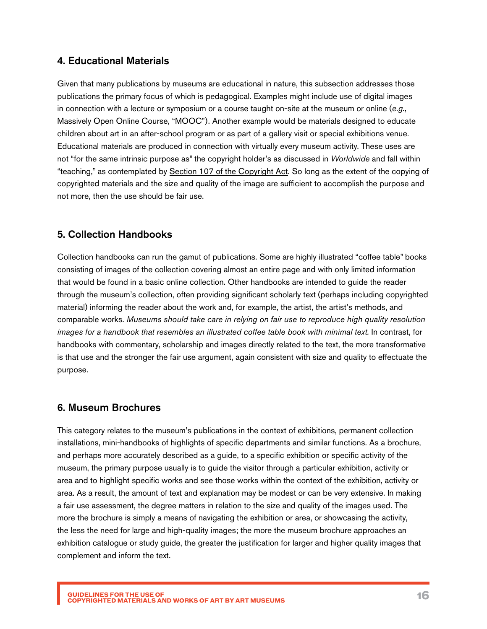#### 4. Educational Materials

Given that many publications by museums are educational in nature, this subsection addresses those publications the primary focus of which is pedagogical. Examples might include use of digital images in connection with a lecture or symposium or a course taught on-site at the museum or online (*e.g.*, Massively Open Online Course, "MOOC"). Another example would be materials designed to educate children about art in an after-school program or as part of a gallery visit or special exhibitions venue. Educational materials are produced in connection with virtually every museum activity. These uses are not "for the same intrinsic purpose as" the copyright holder's as discussed in *Worldwide* and fall within "teaching," as contemplated by Section [107 of the Copyright Act](https://www.copyright.gov/title17/92chap1.html#107). So long as the extent of the copying of copyrighted materials and the size and quality of the image are sufficient to accomplish the purpose and not more, then the use should be fair use.

#### 5. Collection Handbooks

Collection handbooks can run the gamut of publications. Some are highly illustrated "coffee table" books consisting of images of the collection covering almost an entire page and with only limited information that would be found in a basic online collection. Other handbooks are intended to guide the reader through the museum's collection, often providing significant scholarly text (perhaps including copyrighted material) informing the reader about the work and, for example, the artist, the artist's methods, and comparable works. *Museums should take care in relying on fair use to reproduce high quality resolution*  images for a handbook that resembles an illustrated coffee table book with minimal text. In contrast, for handbooks with commentary, scholarship and images directly related to the text, the more transformative is that use and the stronger the fair use argument, again consistent with size and quality to effectuate the purpose.

#### 6. Museum Brochures

This category relates to the museum's publications in the context of exhibitions, permanent collection installations, mini-handbooks of highlights of specific departments and similar functions. As a brochure, and perhaps more accurately described as a guide, to a specific exhibition or specific activity of the museum, the primary purpose usually is to guide the visitor through a particular exhibition, activity or area and to highlight specific works and see those works within the context of the exhibition, activity or area. As a result, the amount of text and explanation may be modest or can be very extensive. In making a fair use assessment, the degree matters in relation to the size and quality of the images used. The more the brochure is simply a means of navigating the exhibition or area, or showcasing the activity, the less the need for large and high-quality images; the more the museum brochure approaches an exhibition catalogue or study guide, the greater the justification for larger and higher quality images that complement and inform the text.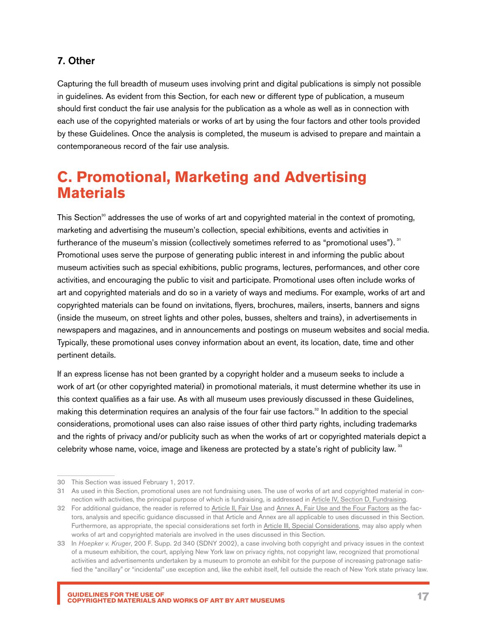#### <span id="page-16-0"></span>7. Other

Capturing the full breadth of museum uses involving print and digital publications is simply not possible in guidelines. As evident from this Section, for each new or different type of publication, a museum should first conduct the fair use analysis for the publication as a whole as well as in connection with each use of the copyrighted materials or works of art by using the four factors and other tools provided by these Guidelines. Once the analysis is completed, the museum is advised to prepare and maintain a contemporaneous record of the fair use analysis.

### **C. Promotional, Marketing and Advertising Materials**

This Section<sup>30</sup> addresses the use of works of art and copyrighted material in the context of promoting, marketing and advertising the museum's collection, special exhibitions, events and activities in furtherance of the museum's mission (collectively sometimes referred to as "promotional uses"). <sup>31</sup> Promotional uses serve the purpose of generating public interest in and informing the public about museum activities such as special exhibitions, public programs, lectures, performances, and other core activities, and encouraging the public to visit and participate. Promotional uses often include works of art and copyrighted materials and do so in a variety of ways and mediums. For example, works of art and copyrighted materials can be found on invitations, flyers, brochures, mailers, inserts, banners and signs (inside the museum, on street lights and other poles, busses, shelters and trains), in advertisements in newspapers and magazines, and in announcements and postings on museum websites and social media. Typically, these promotional uses convey information about an event, its location, date, time and other pertinent details.

If an express license has not been granted by a copyright holder and a museum seeks to include a work of art (or other copyrighted material) in promotional materials, it must determine whether its use in this context qualifies as a fair use. As with all museum uses previously discussed in these Guidelines, making this determination requires an analysis of the four fair use factors.<sup>32</sup> In addition to the special considerations, promotional uses can also raise issues of other third party rights, including trademarks and the rights of privacy and/or publicity such as when the works of art or copyrighted materials depict a celebrity whose name, voice, image and likeness are protected by a state's right of publicity law.<sup>33</sup>

<sup>30</sup> This Section was issued February 1, 2017.

<sup>31</sup> As used in this Section, promotional uses are not fundraising uses. The use of works of art and copyrighted material in connection with activities, the principal purpose of which is fundraising, is addressed in Article IV, Section [D, Fundraising.](#page-20-0)

<sup>32</sup> For additional guidance, the reader is referred to Article [II, Fair Use](#page-4-0) and Annex [A, Fair Use and the Four Factors](#page-33-0) as the factors, analysis and specific guidance discussed in that Article and Annex are all applicable to uses discussed in this Section. Furthermore, as appropriate, the special considerations set forth in Article [III, Special Considerations](#page-6-0), may also apply when works of art and copyrighted materials are involved in the uses discussed in this Section.

<sup>33</sup> In *Hoepker v. Kruger*, 200 F. Supp. 2d 340 (SDNY 2002), a case involving both copyright and privacy issues in the context of a museum exhibition, the court, applying New York law on privacy rights, not copyright law, recognized that promotional activities and advertisements undertaken by a museum to promote an exhibit for the purpose of increasing patronage satisfied the "ancillary" or "incidental" use exception and, like the exhibit itself, fell outside the reach of New York state privacy law.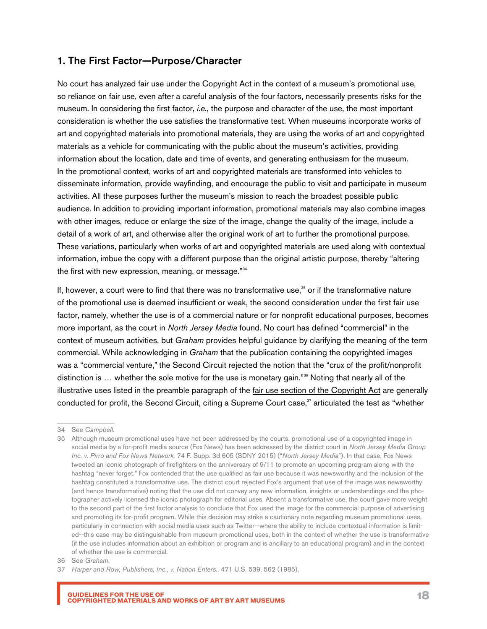#### 1. The First Factor—Purpose/Character

No court has analyzed fair use under the Copyright Act in the context of a museum's promotional use, so reliance on fair use, even after a careful analysis of the four factors, necessarily presents risks for the museum. In considering the first factor, *i.e.*, the purpose and character of the use, the most important consideration is whether the use satisfies the transformative test. When museums incorporate works of art and copyrighted materials into promotional materials, they are using the works of art and copyrighted materials as a vehicle for communicating with the public about the museum's activities, providing information about the location, date and time of events, and generating enthusiasm for the museum. In the promotional context, works of art and copyrighted materials are transformed into vehicles to disseminate information, provide wayfinding, and encourage the public to visit and participate in museum activities. All these purposes further the museum's mission to reach the broadest possible public audience. In addition to providing important information, promotional materials may also combine images with other images, reduce or enlarge the size of the image, change the quality of the image, include a detail of a work of art, and otherwise alter the original work of art to further the promotional purpose. These variations, particularly when works of art and copyrighted materials are used along with contextual information, imbue the copy with a different purpose than the original artistic purpose, thereby "altering the first with new expression, meaning, or message."34

If, however, a court were to find that there was no transformative use, $35$  or if the transformative nature of the promotional use is deemed insufficient or weak, the second consideration under the first fair use factor, namely, whether the use is of a commercial nature or for nonprofit educational purposes, becomes more important, as the court in *North Jersey Media* found. No court has defined "commercial" in the context of museum activities, but *Graham* provides helpful guidance by clarifying the meaning of the term commercial. While acknowledging in *Graham* that the publication containing the copyrighted images was a "commercial venture," the Second Circuit rejected the notion that the "crux of the profit/nonprofit distinction is ... whether the sole motive for the use is monetary gain."<sup>36</sup> Noting that nearly all of the illustrative uses listed in the preamble paragraph of the [fair use section of the Copyright Act](https://www.copyright.gov/title17/92chap1.html#107) are generally conducted for profit, the Second Circuit, citing a Supreme Court case,<sup>37</sup> articulated the test as "whether

<sup>34</sup> See *Campbell*.

<sup>35</sup> Although museum promotional uses have not been addressed by the courts, promotional use of a copyrighted image in social media by a for-profit media source (Fox News) has been addressed by the district court in *North Jersey Media Group Inc. v. Pirro and Fox News Network,* 74 F. Supp. 3d 605 (SDNY 2015) ("*North Jersey Media*"). In that case, Fox News tweeted an iconic photograph of firefighters on the anniversary of 9/11 to promote an upcoming program along with the hashtag "never forget." Fox contended that the use qualified as fair use because it was newsworthy and the inclusion of the hashtag constituted a transformative use. The district court rejected Fox's argument that use of the image was newsworthy (and hence transformative) noting that the use did not convey any new information, insights or understandings and the photographer actively licensed the iconic photograph for editorial uses. Absent a transformative use, the court gave more weight to the second part of the first factor analysis to conclude that Fox used the image for the commercial purpose of advertising and promoting its for-profit program. While this decision may strike a cautionary note regarding museum promotional uses, particularly in connection with social media uses such as Twitter--where the ability to include contextual information is limited--this case may be distinguishable from museum promotional uses, both in the context of whether the use is transformative (if the use includes information about an exhibition or program and is ancillary to an educational program) and in the context of whether the use is commercial.

<sup>36</sup> See *Graham*.

<sup>37</sup> *Harper and Row, Publishers, Inc., v. Nation Enters*., 471 U.S. 539, 562 (1985).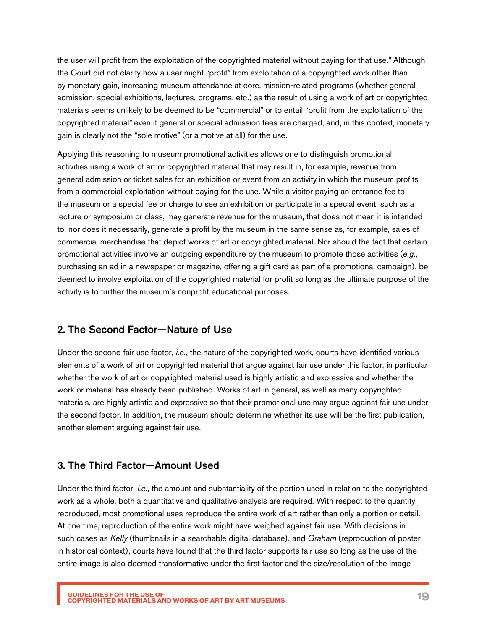the user will profit from the exploitation of the copyrighted material without paying for that use." Although the Court did not clarify how a user might "profit" from exploitation of a copyrighted work other than by monetary gain, increasing museum attendance at core, mission-related programs (whether general admission, special exhibitions, lectures, programs, etc.) as the result of using a work of art or copyrighted materials seems unlikely to be deemed to be "commercial" or to entail "profit from the exploitation of the copyrighted material" even if general or special admission fees are charged, and, in this context, monetary gain is clearly not the "sole motive" (or a motive at all) for the use.

Applying this reasoning to museum promotional activities allows one to distinguish promotional activities using a work of art or copyrighted material that may result in, for example, revenue from general admission or ticket sales for an exhibition or event from an activity in which the museum profits from a commercial exploitation without paying for the use. While a visitor paying an entrance fee to the museum or a special fee or charge to see an exhibition or participate in a special event, such as a lecture or symposium or class, may generate revenue for the museum, that does not mean it is intended to, nor does it necessarily, generate a profit by the museum in the same sense as, for example, sales of commercial merchandise that depict works of art or copyrighted material. Nor should the fact that certain promotional activities involve an outgoing expenditure by the museum to promote those activities (*e.g.*, purchasing an ad in a newspaper or magazine, offering a gift card as part of a promotional campaign), be deemed to involve exploitation of the copyrighted material for profit so long as the ultimate purpose of the activity is to further the museum's nonprofit educational purposes.

#### 2. The Second Factor—Nature of Use

Under the second fair use factor, *i.e.*, the nature of the copyrighted work, courts have identified various elements of a work of art or copyrighted material that argue against fair use under this factor, in particular whether the work of art or copyrighted material used is highly artistic and expressive and whether the work or material has already been published. Works of art in general, as well as many copyrighted materials, are highly artistic and expressive so that their promotional use may argue against fair use under the second factor. In addition, the museum should determine whether its use will be the first publication, another element arguing against fair use.

#### 3. The Third Factor—Amount Used

Under the third factor, *i.e.*, the amount and substantiality of the portion used in relation to the copyrighted work as a whole, both a quantitative and qualitative analysis are required. With respect to the quantity reproduced, most promotional uses reproduce the entire work of art rather than only a portion or detail. At one time, reproduction of the entire work might have weighed against fair use. With decisions in such cases as *Kelly* (thumbnails in a searchable digital database), and *Graham* (reproduction of poster in historical context), courts have found that the third factor supports fair use so long as the use of the entire image is also deemed transformative under the first factor and the size/resolution of the image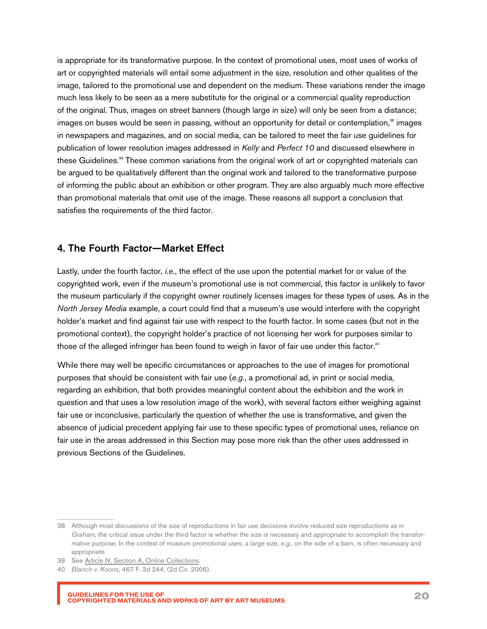is appropriate for its transformative purpose. In the context of promotional uses, most uses of works of art or copyrighted materials will entail some adjustment in the size, resolution and other qualities of the image, tailored to the promotional use and dependent on the medium. These variations render the image much less likely to be seen as a mere substitute for the original or a commercial quality reproduction of the original. Thus, images on street banners (though large in size) will only be seen from a distance; images on buses would be seen in passing, without an opportunity for detail or contemplation,<sup>38</sup> images in newspapers and magazines, and on social media, can be tailored to meet the fair use guidelines for publication of lower resolution images addressed in *Kelly* and *Perfect 10* and discussed elsewhere in these Guidelines.<sup>39</sup> These common variations from the original work of art or copyrighted materials can be argued to be qualitatively different than the original work and tailored to the transformative purpose of informing the public about an exhibition or other program. They are also arguably much more effective than promotional materials that omit use of the image. These reasons all support a conclusion that satisfies the requirements of the third factor.

#### 4. The Fourth Factor—Market Effect

Lastly, under the fourth factor, *i.e.*, the effect of the use upon the potential market for or value of the copyrighted work, even if the museum's promotional use is not commercial, this factor is unlikely to favor the museum particularly if the copyright owner routinely licenses images for these types of uses. As in the *North Jersey Media* example, a court could find that a museum's use would interfere with the copyright holder's market and find against fair use with respect to the fourth factor. In some cases (but not in the promotional context), the copyright holder's practice of not licensing her work for purposes similar to those of the alleged infringer has been found to weigh in favor of fair use under this factor.<sup>40</sup>

While there may well be specific circumstances or approaches to the use of images for promotional purposes that should be consistent with fair use (*e.g.*, a promotional ad, in print or social media, regarding an exhibition, that both provides meaningful content about the exhibition and the work in question and that uses a low resolution image of the work), with several factors either weighing against fair use or inconclusive, particularly the question of whether the use is transformative, and given the absence of judicial precedent applying fair use to these specific types of promotional uses, reliance on fair use in the areas addressed in this Section may pose more risk than the other uses addressed in previous Sections of the Guidelines.

<sup>38</sup> Although most discussions of the size of reproductions in fair use decisions involve reduced size reproductions as in *Graham*, the critical issue under the third factor is whether the size is necessary and appropriate to accomplish the transformative purpose. In the context of museum promotional uses, a large size, *e.g.*, on the side of a barn, is often necessary and appropriate.

<sup>39</sup> See [Article IV, Section A, Online Collections](#page-10-0).

<sup>40</sup> *Blanch v. Koons*, 467 F. 3d 244, (2d Cir. 2006).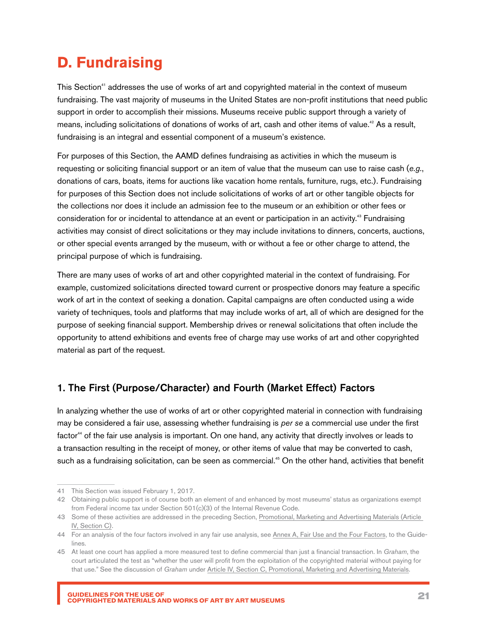# <span id="page-20-0"></span>**D. Fundraising**

This Section<sup>41</sup> addresses the use of works of art and copyrighted material in the context of museum fundraising. The vast majority of museums in the United States are non-profit institutions that need public support in order to accomplish their missions. Museums receive public support through a variety of means, including solicitations of donations of works of art, cash and other items of value.<sup>42</sup> As a result, fundraising is an integral and essential component of a museum's existence.

For purposes of this Section, the AAMD defines fundraising as activities in which the museum is requesting or soliciting financial support or an item of value that the museum can use to raise cash (*e.g.*, donations of cars, boats, items for auctions like vacation home rentals, furniture, rugs, etc.). Fundraising for purposes of this Section does not include solicitations of works of art or other tangible objects for the collections nor does it include an admission fee to the museum or an exhibition or other fees or consideration for or incidental to attendance at an event or participation in an activity.<sup>43</sup> Fundraising activities may consist of direct solicitations or they may include invitations to dinners, concerts, auctions, or other special events arranged by the museum, with or without a fee or other charge to attend, the principal purpose of which is fundraising.

There are many uses of works of art and other copyrighted material in the context of fundraising. For example, customized solicitations directed toward current or prospective donors may feature a specific work of art in the context of seeking a donation. Capital campaigns are often conducted using a wide variety of techniques, tools and platforms that may include works of art, all of which are designed for the purpose of seeking financial support. Membership drives or renewal solicitations that often include the opportunity to attend exhibitions and events free of charge may use works of art and other copyrighted material as part of the request.

#### 1. The First (Purpose/Character) and Fourth (Market Effect) Factors

In analyzing whether the use of works of art or other copyrighted material in connection with fundraising may be considered a fair use, assessing whether fundraising is *per se* a commercial use under the first factor<sup>44</sup> of the fair use analysis is important. On one hand, any activity that directly involves or leads to a transaction resulting in the receipt of money, or other items of value that may be converted to cash, such as a fundraising solicitation, can be seen as commercial.<sup>45</sup> On the other hand, activities that benefit

<sup>41</sup> This Section was issued February 1, 2017.

<sup>42</sup> Obtaining public support is of course both an element of and enhanced by most museums' status as organizations exempt from Federal income tax under Section 501(c)(3) of the Internal Revenue Code.

<sup>43</sup> Some of these activities are addressed in the preceding Section, [Promotional, Marketing and Advertising Materials \(Article](#page-16-0)  [IV, Section C\).](#page-16-0)

<sup>44</sup> For an analysis of the four factors involved in any fair use analysis, see [Annex A, Fair Use and the Four Factors,](#page-33-0) to the Guidelines.

<sup>45</sup> At least one court has applied a more measured test to define commercial than just a financial transaction. In *Graham*, the court articulated the test as "whether the user will profit from the exploitation of the copyrighted material without paying for that use." See the discussion of *Graham* under [Article IV, Section C, Promotional, Marketing and Advertising Materials](#page-16-0).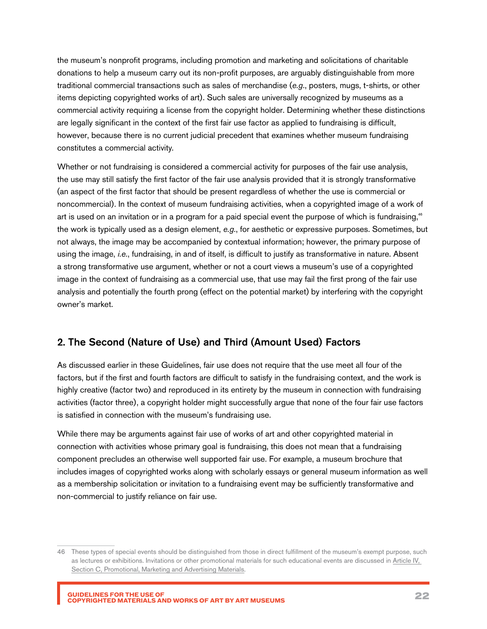the museum's nonprofit programs, including promotion and marketing and solicitations of charitable donations to help a museum carry out its non-profit purposes, are arguably distinguishable from more traditional commercial transactions such as sales of merchandise (*e.g.*, posters, mugs, t-shirts, or other items depicting copyrighted works of art). Such sales are universally recognized by museums as a commercial activity requiring a license from the copyright holder. Determining whether these distinctions are legally significant in the context of the first fair use factor as applied to fundraising is difficult, however, because there is no current judicial precedent that examines whether museum fundraising constitutes a commercial activity.

Whether or not fundraising is considered a commercial activity for purposes of the fair use analysis, the use may still satisfy the first factor of the fair use analysis provided that it is strongly transformative (an aspect of the first factor that should be present regardless of whether the use is commercial or noncommercial). In the context of museum fundraising activities, when a copyrighted image of a work of art is used on an invitation or in a program for a paid special event the purpose of which is fundraising,<sup>46</sup> the work is typically used as a design element, *e.g.*, for aesthetic or expressive purposes. Sometimes, but not always, the image may be accompanied by contextual information; however, the primary purpose of using the image, *i.e.*, fundraising, in and of itself, is difficult to justify as transformative in nature. Absent a strong transformative use argument, whether or not a court views a museum's use of a copyrighted image in the context of fundraising as a commercial use, that use may fail the first prong of the fair use analysis and potentially the fourth prong (effect on the potential market) by interfering with the copyright owner's market.

#### 2. The Second (Nature of Use) and Third (Amount Used) Factors

As discussed earlier in these Guidelines, fair use does not require that the use meet all four of the factors, but if the first and fourth factors are difficult to satisfy in the fundraising context, and the work is highly creative (factor two) and reproduced in its entirety by the museum in connection with fundraising activities (factor three), a copyright holder might successfully argue that none of the four fair use factors is satisfied in connection with the museum's fundraising use.

While there may be arguments against fair use of works of art and other copyrighted material in connection with activities whose primary goal is fundraising, this does not mean that a fundraising component precludes an otherwise well supported fair use. For example, a museum brochure that includes images of copyrighted works along with scholarly essays or general museum information as well as a membership solicitation or invitation to a fundraising event may be sufficiently transformative and non-commercial to justify reliance on fair use.

<sup>46</sup> These types of special events should be distinguished from those in direct fulfillment of the museum's exempt purpose, such as lectures or exhibitions. Invitations or other promotional materials for such educational events are discussed in [Article IV,](#page-16-0)  [Section C, Promotional, Marketing and Advertising Materials](#page-16-0).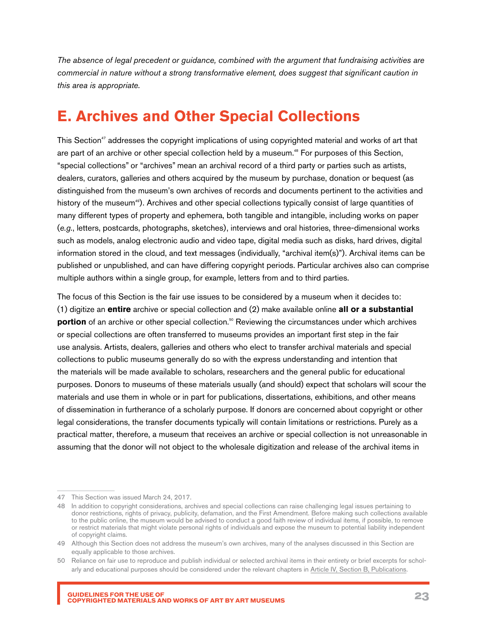<span id="page-22-0"></span>*The absence of legal precedent or guidance, combined with the argument that fundraising activities are commercial in nature without a strong transformative element, does suggest that significant caution in this area is appropriate.* 

## **E. Archives and Other Special Collections**

This Section<sup>47</sup> addresses the copyright implications of using copyrighted material and works of art that are part of an archive or other special collection held by a museum.<sup>48</sup> For purposes of this Section, "special collections" or "archives" mean an archival record of a third party or parties such as artists, dealers, curators, galleries and others acquired by the museum by purchase, donation or bequest (as distinguished from the museum's own archives of records and documents pertinent to the activities and history of the museum<sup>49</sup>). Archives and other special collections typically consist of large quantities of many different types of property and ephemera, both tangible and intangible, including works on paper (*e.g.*, letters, postcards, photographs, sketches), interviews and oral histories, three-dimensional works such as models, analog electronic audio and video tape, digital media such as disks, hard drives, digital information stored in the cloud, and text messages (individually, "archival item(s)"). Archival items can be published or unpublished, and can have differing copyright periods. Particular archives also can comprise multiple authors within a single group, for example, letters from and to third parties.

The focus of this Section is the fair use issues to be considered by a museum when it decides to: (1) digitize an **entire** archive or special collection and (2) make available online **all or a substantial portion** of an archive or other special collection.<sup>50</sup> Reviewing the circumstances under which archives or special collections are often transferred to museums provides an important first step in the fair use analysis. Artists, dealers, galleries and others who elect to transfer archival materials and special collections to public museums generally do so with the express understanding and intention that the materials will be made available to scholars, researchers and the general public for educational purposes. Donors to museums of these materials usually (and should) expect that scholars will scour the materials and use them in whole or in part for publications, dissertations, exhibitions, and other means of dissemination in furtherance of a scholarly purpose. If donors are concerned about copyright or other legal considerations, the transfer documents typically will contain limitations or restrictions. Purely as a practical matter, therefore, a museum that receives an archive or special collection is not unreasonable in assuming that the donor will not object to the wholesale digitization and release of the archival items in

<sup>47</sup> This Section was issued March 24, 2017.

<sup>48</sup> In addition to copyright considerations, archives and special collections can raise challenging legal issues pertaining to donor restrictions, rights of privacy, publicity, defamation, and the First Amendment. Before making such collections available to the public online, the museum would be advised to conduct a good faith review of individual items, if possible, to remove or restrict materials that might violate personal rights of individuals and expose the museum to potential liability independent of copyright claims.

<sup>49</sup> Although this Section does not address the museum's own archives, many of the analyses discussed in this Section are equally applicable to those archives.

<sup>50</sup> Reliance on fair use to reproduce and publish individual or selected archival items in their entirety or brief excerpts for scholarly and educational purposes should be considered under the relevant chapters in [Article IV, Section B, Publications](#page-12-0).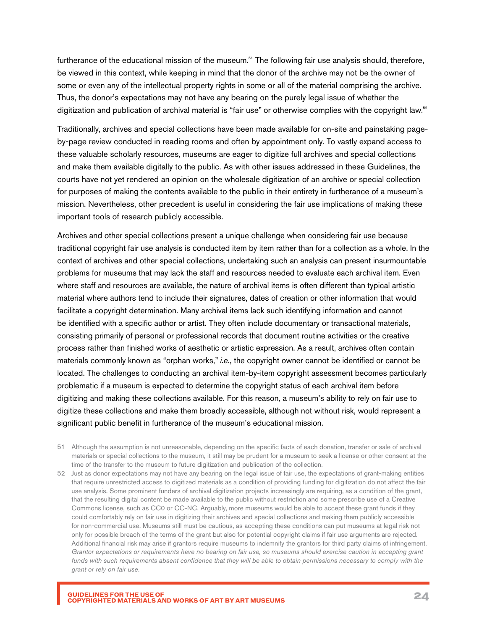furtherance of the educational mission of the museum.<sup>51</sup> The following fair use analysis should, therefore, be viewed in this context, while keeping in mind that the donor of the archive may not be the owner of some or even any of the intellectual property rights in some or all of the material comprising the archive. Thus, the donor's expectations may not have any bearing on the purely legal issue of whether the digitization and publication of archival material is "fair use" or otherwise complies with the copyright law.<sup>52</sup>

Traditionally, archives and special collections have been made available for on-site and painstaking pageby-page review conducted in reading rooms and often by appointment only. To vastly expand access to these valuable scholarly resources, museums are eager to digitize full archives and special collections and make them available digitally to the public. As with other issues addressed in these Guidelines, the courts have not yet rendered an opinion on the wholesale digitization of an archive or special collection for purposes of making the contents available to the public in their entirety in furtherance of a museum's mission. Nevertheless, other precedent is useful in considering the fair use implications of making these important tools of research publicly accessible.

Archives and other special collections present a unique challenge when considering fair use because traditional copyright fair use analysis is conducted item by item rather than for a collection as a whole. In the context of archives and other special collections, undertaking such an analysis can present insurmountable problems for museums that may lack the staff and resources needed to evaluate each archival item. Even where staff and resources are available, the nature of archival items is often different than typical artistic material where authors tend to include their signatures, dates of creation or other information that would facilitate a copyright determination. Many archival items lack such identifying information and cannot be identified with a specific author or artist. They often include documentary or transactional materials, consisting primarily of personal or professional records that document routine activities or the creative process rather than finished works of aesthetic or artistic expression. As a result, archives often contain materials commonly known as "orphan works," *i.e.*, the copyright owner cannot be identified or cannot be located. The challenges to conducting an archival item-by-item copyright assessment becomes particularly problematic if a museum is expected to determine the copyright status of each archival item before digitizing and making these collections available. For this reason, a museum's ability to rely on fair use to digitize these collections and make them broadly accessible, although not without risk, would represent a significant public benefit in furtherance of the museum's educational mission.

<sup>51</sup> Although the assumption is not unreasonable, depending on the specific facts of each donation, transfer or sale of archival materials or special collections to the museum, it still may be prudent for a museum to seek a license or other consent at the time of the transfer to the museum to future digitization and publication of the collection.

<sup>52</sup> Just as donor expectations may not have any bearing on the legal issue of fair use, the expectations of grant-making entities that require unrestricted access to digitized materials as a condition of providing funding for digitization do not affect the fair use analysis. Some prominent funders of archival digitization projects increasingly are requiring, as a condition of the grant, that the resulting digital content be made available to the public without restriction and some prescribe use of a Creative Commons license, such as CC0 or CC-NC. Arguably, more museums would be able to accept these grant funds if they could comfortably rely on fair use in digitizing their archives and special collections and making them publicly accessible for non-commercial use. Museums still must be cautious, as accepting these conditions can put museums at legal risk not only for possible breach of the terms of the grant but also for potential copyright claims if fair use arguments are rejected. Additional financial risk may arise if grantors require museums to indemnify the grantors for third party claims of infringement. *Grantor expectations or requirements have no bearing on fair use, so museums should exercise caution in accepting grant funds with such requirements absent confidence that they will be able to obtain permissions necessary to comply with the grant or rely on fair use*.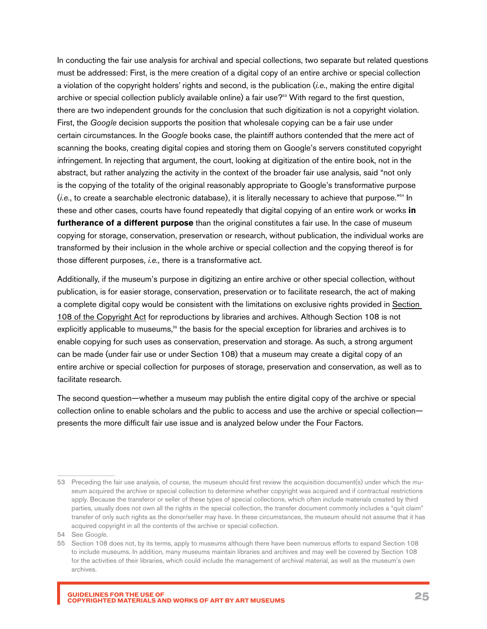In conducting the fair use analysis for archival and special collections, two separate but related questions must be addressed: First, is the mere creation of a digital copy of an entire archive or special collection a violation of the copyright holders' rights and second, is the publication (*i.e.*, making the entire digital archive or special collection publicly available online) a fair use?<sup>53</sup> With regard to the first question, there are two independent grounds for the conclusion that such digitization is not a copyright violation. First, the *Google* decision supports the position that wholesale copying can be a fair use under certain circumstances. In the *Google* books case, the plaintiff authors contended that the mere act of scanning the books, creating digital copies and storing them on Google's servers constituted copyright infringement. In rejecting that argument, the court, looking at digitization of the entire book, not in the abstract, but rather analyzing the activity in the context of the broader fair use analysis, said "not only is the copying of the totality of the original reasonably appropriate to Google's transformative purpose (*i.e.*, to create a searchable electronic database), it is literally necessary to achieve that purpose."54 In these and other cases, courts have found repeatedly that digital copying of an entire work or works **in furtherance of a different purpose** than the original constitutes a fair use. In the case of museum copying for storage, conservation, preservation or research, without publication, the individual works are transformed by their inclusion in the whole archive or special collection and the copying thereof is for those different purposes, *i.e.,* there is a transformative act.

Additionally, if the museum's purpose in digitizing an entire archive or other special collection, without publication, is for easier storage, conservation, preservation or to facilitate research, the act of making a complete digital copy would be consistent with the limitations on exclusive rights provided in Section [108 of the Copyright Act](https://www.copyright.gov/title17/92chap1.html#108) for reproductions by libraries and archives. Although Section 108 is not explicitly applicable to museums,<sup>55</sup> the basis for the special exception for libraries and archives is to enable copying for such uses as conservation, preservation and storage. As such, a strong argument can be made (under fair use or under Section 108) that a museum may create a digital copy of an entire archive or special collection for purposes of storage, preservation and conservation, as well as to facilitate research.

The second question—whether a museum may publish the entire digital copy of the archive or special collection online to enable scholars and the public to access and use the archive or special collection presents the more difficult fair use issue and is analyzed below under the Four Factors.

<sup>53</sup> Preceding the fair use analysis, of course, the museum should first review the acquisition document(s) under which the museum acquired the archive or special collection to determine whether copyright was acquired and if contractual restrictions apply. Because the transferor or seller of these types of special collections, which often include materials created by third parties, usually does not own all the rights in the special collection, the transfer document commonly includes a "quit claim" transfer of only such rights as the donor/seller may have. In these circumstances, the museum should not assume that it has acquired copyright in all the contents of the archive or special collection.

<sup>54</sup> See *Google.*

<sup>55</sup> Section 108 does not, by its terms, apply to museums although there have been numerous efforts to expand Section 108 to include museums. In addition, many museums maintain libraries and archives and may well be covered by Section 108 for the activities of their libraries, which could include the management of archival material, as well as the museum's own archives.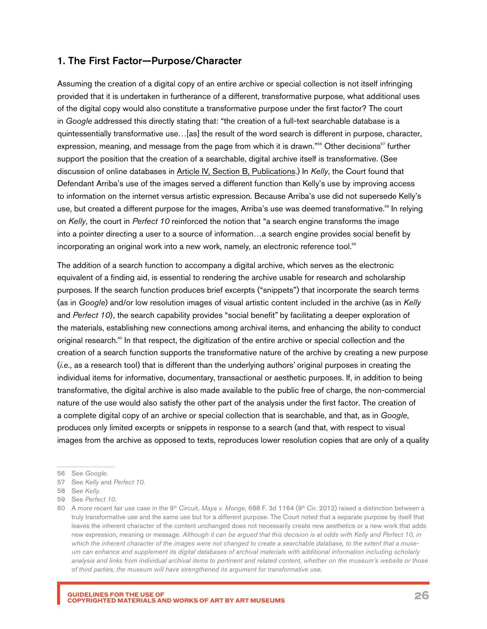#### 1. The First Factor—Purpose/Character

Assuming the creation of a digital copy of an entire archive or special collection is not itself infringing provided that it is undertaken in furtherance of a different, transformative purpose, what additional uses of the digital copy would also constitute a transformative purpose under the first factor? The court in *Google* addressed this directly stating that: "the creation of a full-text searchable database is a quintessentially transformative use…[as] the result of the word search is different in purpose, character, expression, meaning, and message from the page from which it is drawn."<sup>56</sup> Other decisions<sup>57</sup> further support the position that the creation of a searchable, digital archive itself is transformative. (See discussion of online databases in Article [IV, Section B, Publications](#page-12-0).) In *Kelly*, the Court found that Defendant Arriba's use of the images served a different function than Kelly's use by improving access to information on the internet versus artistic expression. Because Arriba's use did not supersede Kelly's use, but created a different purpose for the images, Arriba's use was deemed transformative.<sup>58</sup> In relying on *Kelly*, the court in *Perfect 10* reinforced the notion that "a search engine transforms the image into a pointer directing a user to a source of information…a search engine provides social benefit by incorporating an original work into a new work, namely, an electronic reference tool.<sup>59</sup>

The addition of a search function to accompany a digital archive, which serves as the electronic equivalent of a finding aid, is essential to rendering the archive usable for research and scholarship purposes. If the search function produces brief excerpts ("snippets") that incorporate the search terms (as in *Google*) and/or low resolution images of visual artistic content included in the archive (as in *Kelly*  and *Perfect 10*), the search capability provides "social benefit" by facilitating a deeper exploration of the materials, establishing new connections among archival items, and enhancing the ability to conduct original research.<sup>60</sup> In that respect, the digitization of the entire archive or special collection and the creation of a search function supports the transformative nature of the archive by creating a new purpose (*i.e.*, as a research tool) that is different than the underlying authors' original purposes in creating the individual items for informative, documentary, transactional or aesthetic purposes. If, in addition to being transformative, the digital archive is also made available to the public free of charge, the non-commercial nature of the use would also satisfy the other part of the analysis under the first factor. The creation of a complete digital copy of an archive or special collection that is searchable, and that, as in *Google*, produces only limited excerpts or snippets in response to a search (and that, with respect to visual images from the archive as opposed to texts, reproduces lower resolution copies that are only of a quality

<sup>56</sup> See *Google.*

<sup>57</sup> See *Kelly* and *Perfect 10*.

<sup>58</sup> See *Kelly.*

<sup>59</sup> See *Perfect 10*.

<sup>60</sup> A more recent fair use case in the 9th Circuit, *Maya v. Monge*, 688 F. 3d 1164 (9th Cir. 2012) raised a distinction between a truly transformative use and the same use but for a different purpose. The Court noted that a separate purpose by itself that leaves the inherent character of the content unchanged does not necessarily create new aesthetics or a new work that adds new expression, meaning or message. *Although it can be argued that this decision is at odds with Kelly and Perfect 10, in which the inherent character of the images were not changed to create a searchable database, to the extent that a museum can enhance and supplement its digital databases of archival materials with additional information including scholarly*  analysis and links from individual archival items to pertinent and related content, whether on the museum's website or those *of third parties, the museum will have strengthened its argument for transformative use.*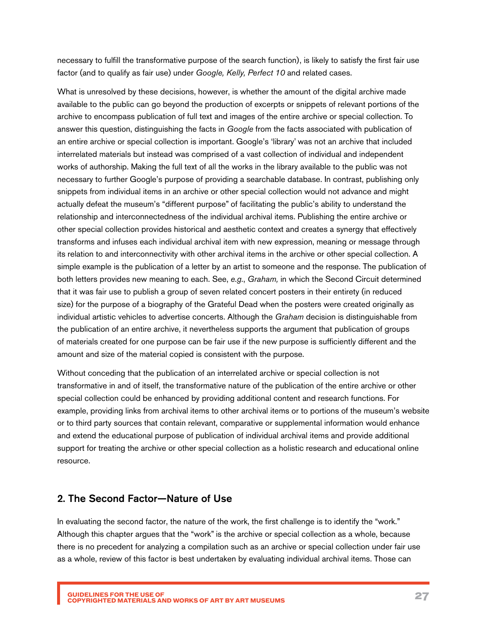necessary to fulfill the transformative purpose of the search function), is likely to satisfy the first fair use factor (and to qualify as fair use) under *Google, Kelly, Perfect 10* and related cases.

What is unresolved by these decisions, however, is whether the amount of the digital archive made available to the public can go beyond the production of excerpts or snippets of relevant portions of the archive to encompass publication of full text and images of the entire archive or special collection. To answer this question, distinguishing the facts in *Google* from the facts associated with publication of an entire archive or special collection is important. Google's 'library' was not an archive that included interrelated materials but instead was comprised of a vast collection of individual and independent works of authorship. Making the full text of all the works in the library available to the public was not necessary to further Google's purpose of providing a searchable database. In contrast, publishing only snippets from individual items in an archive or other special collection would not advance and might actually defeat the museum's "different purpose" of facilitating the public's ability to understand the relationship and interconnectedness of the individual archival items. Publishing the entire archive or other special collection provides historical and aesthetic context and creates a synergy that effectively transforms and infuses each individual archival item with new expression, meaning or message through its relation to and interconnectivity with other archival items in the archive or other special collection. A simple example is the publication of a letter by an artist to someone and the response. The publication of both letters provides new meaning to each. See, *e.g.*, *Graham,* in which the Second Circuit determined that it was fair use to publish a group of seven related concert posters in their entirety (in reduced size) for the purpose of a biography of the Grateful Dead when the posters were created originally as individual artistic vehicles to advertise concerts. Although the *Graham* decision is distinguishable from the publication of an entire archive, it nevertheless supports the argument that publication of groups of materials created for one purpose can be fair use if the new purpose is sufficiently different and the amount and size of the material copied is consistent with the purpose.

Without conceding that the publication of an interrelated archive or special collection is not transformative in and of itself, the transformative nature of the publication of the entire archive or other special collection could be enhanced by providing additional content and research functions. For example, providing links from archival items to other archival items or to portions of the museum's website or to third party sources that contain relevant, comparative or supplemental information would enhance and extend the educational purpose of publication of individual archival items and provide additional support for treating the archive or other special collection as a holistic research and educational online resource.

#### 2. The Second Factor—Nature of Use

In evaluating the second factor, the nature of the work, the first challenge is to identify the "work." Although this chapter argues that the "work" is the archive or special collection as a whole, because there is no precedent for analyzing a compilation such as an archive or special collection under fair use as a whole, review of this factor is best undertaken by evaluating individual archival items. Those can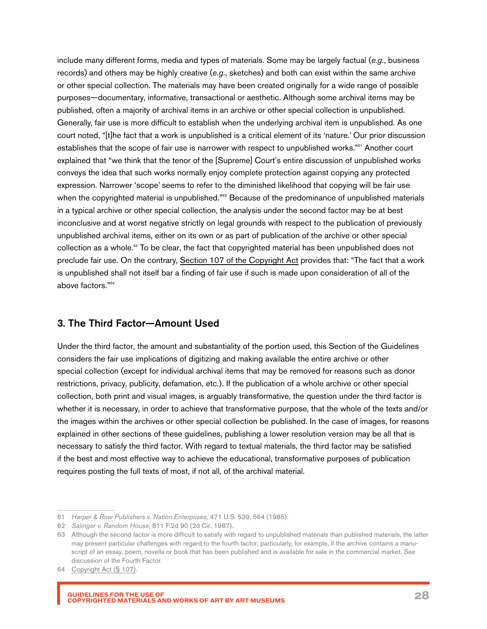include many different forms, media and types of materials. Some may be largely factual (*e.g.*, business records) and others may be highly creative (*e.g.*, sketches) and both can exist within the same archive or other special collection. The materials may have been created originally for a wide range of possible purposes—documentary, informative, transactional or aesthetic. Although some archival items may be published, often a majority of archival items in an archive or other special collection is unpublished. Generally, fair use is more difficult to establish when the underlying archival item is unpublished. As one court noted, "[t]he fact that a work is unpublished is a critical element of its 'nature.' Our prior discussion establishes that the scope of fair use is narrower with respect to unpublished works."<sup>61</sup> Another court explained that "we think that the tenor of the [Supreme] Court's entire discussion of unpublished works conveys the idea that such works normally enjoy complete protection against copying any protected expression. Narrower 'scope' seems to refer to the diminished likelihood that copying will be fair use when the copyrighted material is unpublished."<sup>62</sup> Because of the predominance of unpublished materials in a typical archive or other special collection, the analysis under the second factor may be at best inconclusive and at worst negative strictly on legal grounds with respect to the publication of previously unpublished archival items, either on its own or as part of publication of the archive or other special collection as a whole.<sup>63</sup> To be clear, the fact that copyrighted material has been unpublished does not preclude fair use. On the contrary, [Section 107 of the Copyright Act](https://www.copyright.gov/title17/92chap1.html#107) provides that: "The fact that a work is unpublished shall not itself bar a finding of fair use if such is made upon consideration of all of the above factors."64

#### 3. The Third Factor—Amount Used

Under the third factor, the amount and substantiality of the portion used, this Section of the Guidelines considers the fair use implications of digitizing and making available the entire archive or other special collection (except for individual archival items that may be removed for reasons such as donor restrictions, privacy, publicity, defamation, etc.). If the publication of a whole archive or other special collection, both print and visual images, is arguably transformative, the question under the third factor is whether it is necessary, in order to achieve that transformative purpose, that the whole of the texts and/or the images within the archives or other special collection be published. In the case of images, for reasons explained in other sections of these guidelines, publishing a lower resolution version may be all that is necessary to satisfy the third factor. With regard to textual materials, the third factor may be satisfied if the best and most effective way to achieve the educational, transformative purposes of publication requires posting the full texts of most, if not all, of the archival material.

<sup>61</sup> *Harper & Row Publishers v. Nation Enterprises*, 471 U.S. 539, 564 (1985).

<sup>62</sup> *Salinger v. Random House*, 811 F.2d 90 (2d Cir. 1987).

<sup>63</sup> Although the second factor is more difficult to satisfy with regard to unpublished materials than published materials, the latter may present particular challenges with regard to the fourth factor, particularly, for example, if the archive contains a manuscript of an essay, poem, novella or book that has been published and is available for sale in the commercial market. See discussion of the Fourth Factor.

<sup>64</sup> [Copyright Act \(§](https://www.copyright.gov/title17/92chap1.html#107) 107).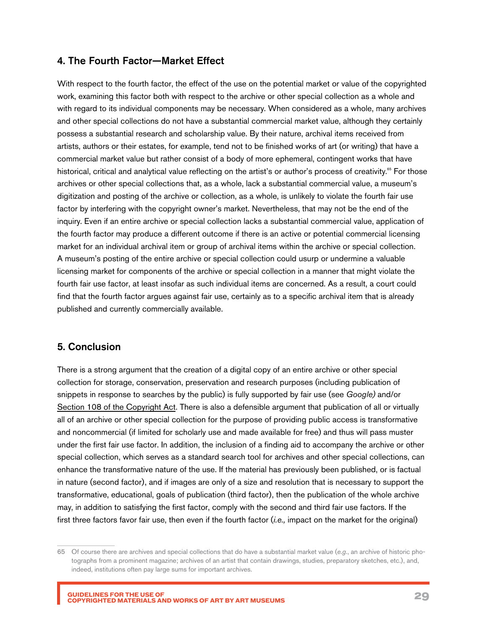#### 4. The Fourth Factor—Market Effect

With respect to the fourth factor, the effect of the use on the potential market or value of the copyrighted work, examining this factor both with respect to the archive or other special collection as a whole and with regard to its individual components may be necessary. When considered as a whole, many archives and other special collections do not have a substantial commercial market value, although they certainly possess a substantial research and scholarship value. By their nature, archival items received from artists, authors or their estates, for example, tend not to be finished works of art (or writing) that have a commercial market value but rather consist of a body of more ephemeral, contingent works that have historical, critical and analytical value reflecting on the artist's or author's process of creativity.<sup>65</sup> For those archives or other special collections that, as a whole, lack a substantial commercial value, a museum's digitization and posting of the archive or collection, as a whole, is unlikely to violate the fourth fair use factor by interfering with the copyright owner's market. Nevertheless, that may not be the end of the inquiry. Even if an entire archive or special collection lacks a substantial commercial value, application of the fourth factor may produce a different outcome if there is an active or potential commercial licensing market for an individual archival item or group of archival items within the archive or special collection. A museum's posting of the entire archive or special collection could usurp or undermine a valuable licensing market for components of the archive or special collection in a manner that might violate the fourth fair use factor, at least insofar as such individual items are concerned. As a result, a court could find that the fourth factor argues against fair use, certainly as to a specific archival item that is already published and currently commercially available.

#### 5. Conclusion

There is a strong argument that the creation of a digital copy of an entire archive or other special collection for storage, conservation, preservation and research purposes (including publication of snippets in response to searches by the public) is fully supported by fair use (see *Google)* and/or [Section 108 of the Copyright Act.](https://www.copyright.gov/title17/92chap1.html#108) There is also a defensible argument that publication of all or virtually all of an archive or other special collection for the purpose of providing public access is transformative and noncommercial (if limited for scholarly use and made available for free) and thus will pass muster under the first fair use factor. In addition, the inclusion of a finding aid to accompany the archive or other special collection, which serves as a standard search tool for archives and other special collections, can enhance the transformative nature of the use. If the material has previously been published, or is factual in nature (second factor), and if images are only of a size and resolution that is necessary to support the transformative, educational, goals of publication (third factor), then the publication of the whole archive may, in addition to satisfying the first factor, comply with the second and third fair use factors. If the first three factors favor fair use, then even if the fourth factor (*i.e.,* impact on the market for the original)

<sup>65</sup> Of course there are archives and special collections that do have a substantial market value (*e.g.*, an archive of historic photographs from a prominent magazine; archives of an artist that contain drawings, studies, preparatory sketches, etc.), and, indeed, institutions often pay large sums for important archives.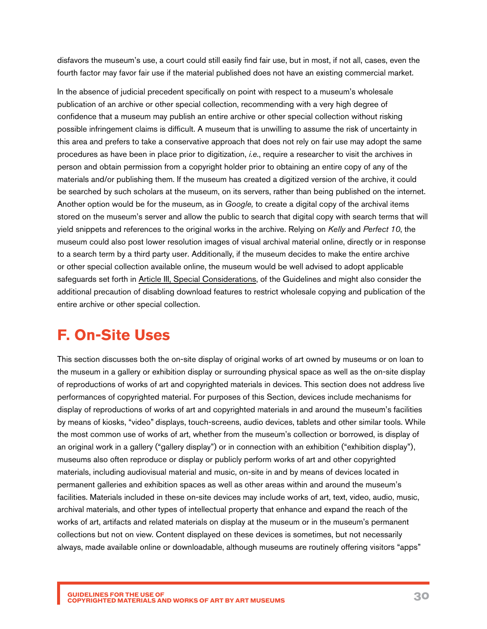disfavors the museum's use, a court could still easily find fair use, but in most, if not all, cases, even the fourth factor may favor fair use if the material published does not have an existing commercial market.

In the absence of judicial precedent specifically on point with respect to a museum's wholesale publication of an archive or other special collection, recommending with a very high degree of confidence that a museum may publish an entire archive or other special collection without risking possible infringement claims is difficult. A museum that is unwilling to assume the risk of uncertainty in this area and prefers to take a conservative approach that does not rely on fair use may adopt the same procedures as have been in place prior to digitization, *i.e.*, require a researcher to visit the archives in person and obtain permission from a copyright holder prior to obtaining an entire copy of any of the materials and/or publishing them. If the museum has created a digitized version of the archive, it could be searched by such scholars at the museum, on its servers, rather than being published on the internet. Another option would be for the museum, as in *Google,* to create a digital copy of the archival items stored on the museum's server and allow the public to search that digital copy with search terms that will yield snippets and references to the original works in the archive. Relying on *Kelly* and *Perfect 10*, the museum could also post lower resolution images of visual archival material online, directly or in response to a search term by a third party user. Additionally, if the museum decides to make the entire archive or other special collection available online, the museum would be well advised to adopt applicable safeguards set forth in [Article III, Special Considerations](#page-6-0), of the Guidelines and might also consider the additional precaution of disabling download features to restrict wholesale copying and publication of the entire archive or other special collection.

## **F. On-Site Uses**

This section discusses both the on-site display of original works of art owned by museums or on loan to the museum in a gallery or exhibition display or surrounding physical space as well as the on-site display of reproductions of works of art and copyrighted materials in devices. This section does not address live performances of copyrighted material. For purposes of this Section, devices include mechanisms for display of reproductions of works of art and copyrighted materials in and around the museum's facilities by means of kiosks, "video" displays, touch-screens, audio devices, tablets and other similar tools. While the most common use of works of art, whether from the museum's collection or borrowed, is display of an original work in a gallery ("gallery display") or in connection with an exhibition ("exhibition display"), museums also often reproduce or display or publicly perform works of art and other copyrighted materials, including audiovisual material and music, on-site in and by means of devices located in permanent galleries and exhibition spaces as well as other areas within and around the museum's facilities. Materials included in these on-site devices may include works of art, text, video, audio, music, archival materials, and other types of intellectual property that enhance and expand the reach of the works of art, artifacts and related materials on display at the museum or in the museum's permanent collections but not on view. Content displayed on these devices is sometimes, but not necessarily always, made available online or downloadable, although museums are routinely offering visitors "apps"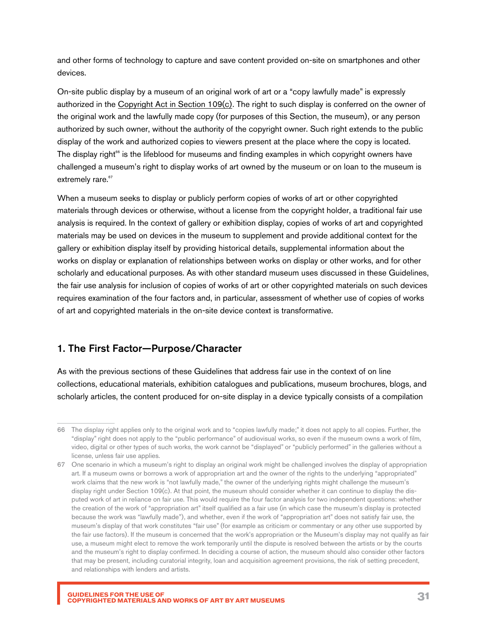and other forms of technology to capture and save content provided on-site on smartphones and other devices.

On-site public display by a museum of an original work of art or a "copy lawfully made" is expressly authorized in the [Copyright Act in Section 109\(c\)](https://www.copyright.gov/title17/92chap1.html#109). The right to such display is conferred on the owner of the original work and the lawfully made copy (for purposes of this Section, the museum), or any person authorized by such owner, without the authority of the copyright owner. Such right extends to the public display of the work and authorized copies to viewers present at the place where the copy is located. The display right $\mathfrak{e}_6$  is the lifeblood for museums and finding examples in which copyright owners have challenged a museum's right to display works of art owned by the museum or on loan to the museum is extremely rare.<sup>67</sup>

When a museum seeks to display or publicly perform copies of works of art or other copyrighted materials through devices or otherwise, without a license from the copyright holder, a traditional fair use analysis is required. In the context of gallery or exhibition display, copies of works of art and copyrighted materials may be used on devices in the museum to supplement and provide additional context for the gallery or exhibition display itself by providing historical details, supplemental information about the works on display or explanation of relationships between works on display or other works, and for other scholarly and educational purposes. As with other standard museum uses discussed in these Guidelines, the fair use analysis for inclusion of copies of works of art or other copyrighted materials on such devices requires examination of the four factors and, in particular, assessment of whether use of copies of works of art and copyrighted materials in the on-site device context is transformative.

#### 1. The First Factor—Purpose/Character

As with the previous sections of these Guidelines that address fair use in the context of on line collections, educational materials, exhibition catalogues and publications, museum brochures, blogs, and scholarly articles, the content produced for on-site display in a device typically consists of a compilation

<sup>66</sup> The display right applies only to the original work and to "copies lawfully made;" it does not apply to all copies. Further, the "display" right does not apply to the "public performance" of audiovisual works, so even if the museum owns a work of film, video, digital or other types of such works, the work cannot be "displayed" or "publicly performed" in the galleries without a license, unless fair use applies.

<sup>67</sup> One scenario in which a museum's right to display an original work might be challenged involves the display of appropriation art. If a museum owns or borrows a work of appropriation art and the owner of the rights to the underlying "appropriated" work claims that the new work is "not lawfully made," the owner of the underlying rights might challenge the museum's display right under Section 109(c). At that point, the museum should consider whether it can continue to display the disputed work of art in reliance on fair use. This would require the four factor analysis for two independent questions: whether the creation of the work of "appropriation art" itself qualified as a fair use (in which case the museum's display is protected because the work was "lawfully made"), and whether, even if the work of "appropriation art" does not satisfy fair use, the museum's display of that work constitutes "fair use" (for example as criticism or commentary or any other use supported by the fair use factors). If the museum is concerned that the work's appropriation or the Museum's display may not qualify as fair use, a museum might elect to remove the work temporarily until the dispute is resolved between the artists or by the courts and the museum's right to display confirmed. In deciding a course of action, the museum should also consider other factors that may be present, including curatorial integrity, loan and acquisition agreement provisions, the risk of setting precedent, and relationships with lenders and artists.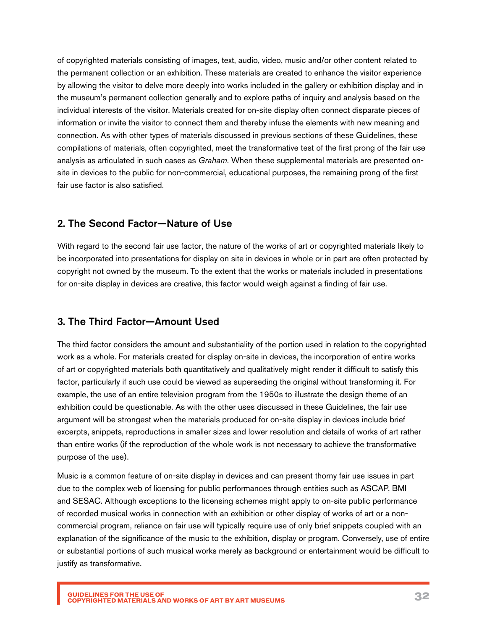of copyrighted materials consisting of images, text, audio, video, music and/or other content related to the permanent collection or an exhibition. These materials are created to enhance the visitor experience by allowing the visitor to delve more deeply into works included in the gallery or exhibition display and in the museum's permanent collection generally and to explore paths of inquiry and analysis based on the individual interests of the visitor. Materials created for on-site display often connect disparate pieces of information or invite the visitor to connect them and thereby infuse the elements with new meaning and connection. As with other types of materials discussed in previous sections of these Guidelines, these compilations of materials, often copyrighted, meet the transformative test of the first prong of the fair use analysis as articulated in such cases as *Graham*. When these supplemental materials are presented onsite in devices to the public for non-commercial, educational purposes, the remaining prong of the first fair use factor is also satisfied.

#### 2. The Second Factor—Nature of Use

With regard to the second fair use factor, the nature of the works of art or copyrighted materials likely to be incorporated into presentations for display on site in devices in whole or in part are often protected by copyright not owned by the museum. To the extent that the works or materials included in presentations for on-site display in devices are creative, this factor would weigh against a finding of fair use.

#### 3. The Third Factor—Amount Used

The third factor considers the amount and substantiality of the portion used in relation to the copyrighted work as a whole. For materials created for display on-site in devices, the incorporation of entire works of art or copyrighted materials both quantitatively and qualitatively might render it difficult to satisfy this factor, particularly if such use could be viewed as superseding the original without transforming it. For example, the use of an entire television program from the 1950s to illustrate the design theme of an exhibition could be questionable. As with the other uses discussed in these Guidelines, the fair use argument will be strongest when the materials produced for on-site display in devices include brief excerpts, snippets, reproductions in smaller sizes and lower resolution and details of works of art rather than entire works (if the reproduction of the whole work is not necessary to achieve the transformative purpose of the use).

Music is a common feature of on-site display in devices and can present thorny fair use issues in part due to the complex web of licensing for public performances through entities such as ASCAP, BMI and SESAC. Although exceptions to the licensing schemes might apply to on-site public performance of recorded musical works in connection with an exhibition or other display of works of art or a noncommercial program, reliance on fair use will typically require use of only brief snippets coupled with an explanation of the significance of the music to the exhibition, display or program. Conversely, use of entire or substantial portions of such musical works merely as background or entertainment would be difficult to justify as transformative.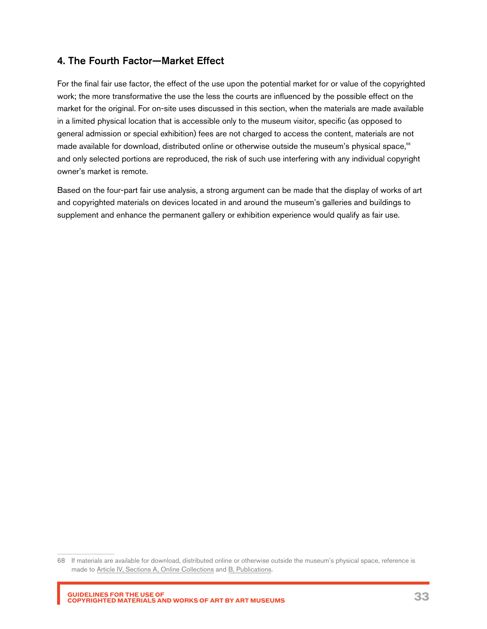#### 4. The Fourth Factor—Market Effect

For the final fair use factor, the effect of the use upon the potential market for or value of the copyrighted work; the more transformative the use the less the courts are influenced by the possible effect on the market for the original. For on-site uses discussed in this section, when the materials are made available in a limited physical location that is accessible only to the museum visitor, specific (as opposed to general admission or special exhibition) fees are not charged to access the content, materials are not made available for download, distributed online or otherwise outside the museum's physical space,<sup>68</sup> and only selected portions are reproduced, the risk of such use interfering with any individual copyright owner's market is remote.

Based on the four-part fair use analysis, a strong argument can be made that the display of works of art and copyrighted materials on devices located in and around the museum's galleries and buildings to supplement and enhance the permanent gallery or exhibition experience would qualify as fair use.

<sup>68</sup> If materials are available for download, distributed online or otherwise outside the museum's physical space, reference is made to Article IV, Sections [A, Online Collections](#page-10-0) and [B, Publications](#page-12-0).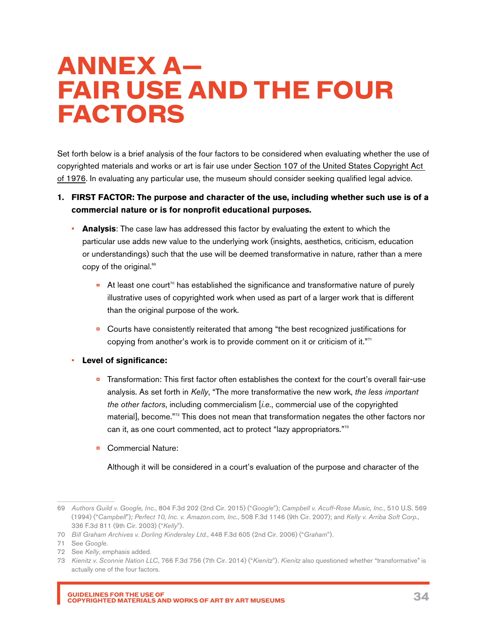# <span id="page-33-0"></span>**ANNEX A— FAIR USE AND THE FOUR FACTORS**

Set forth below is a brief analysis of the four factors to be considered when evaluating whether the use of copyrighted materials and works or art is fair use under [Section 107 of the United States Copyright Act](https://www.copyright.gov/title17/92chap1.html#107)  [of 1976.](https://www.copyright.gov/title17/92chap1.html#107) In evaluating any particular use, the museum should consider seeking qualified legal advice.

#### **1. FIRST FACTOR: The purpose and character of the use, including whether such use is of a commercial nature or is for nonprofit educational purposes.**

- **Analysis**: The case law has addressed this factor by evaluating the extent to which the particular use adds new value to the underlying work (insights, aesthetics, criticism, education or understandings) such that the use will be deemed transformative in nature, rather than a mere copy of the original.<sup>69</sup>
	- At least one court<sup>70</sup> has established the significance and transformative nature of purely illustrative uses of copyrighted work when used as part of a larger work that is different than the original purpose of the work.
	- Courts have consistently reiterated that among "the best recognized justifications for copying from another's work is to provide comment on it or criticism of it."71

#### • **Level of significance:**

- Transformation: This first factor often establishes the context for the court's overall fair-use analysis. As set forth in *Kelly*, "The more transformative the new work, *the less important the other factors*, including commercialism [*i.e.*, commercial use of the copyrighted material], become."72 This does not mean that transformation negates the other factors nor can it, as one court commented, act to protect "lazy appropriators."73
- **Commercial Nature:**

Although it will be considered in a court's evaluation of the purpose and character of the

<sup>69</sup> *Authors Guild v. Google, Inc.*, 804 F.3d 202 (2nd Cir. 2015) ("*Google*"); *Campbell v. Acuff-Rose Music, Inc.*, 510 U.S. 569 (1994) ("*Campbell*")*; Perfect 10, Inc. v. Amazon.com, Inc.*, 508 F.3d 1146 (9th Cir. 2007); and *Kelly v. Arriba Soft Corp.*, 336 F.3d 811 (9th Cir. 2003) ("*Kelly*").

<sup>70</sup> *Bill Graham Archives v. Dorling Kindersley Ltd.*, 448 F.3d 605 (2nd Cir. 2006) ("*Graham*").

<sup>71</sup> See *Google*.

<sup>72</sup> See *Kelly*, emphasis added.

<sup>73</sup> *Kienitz v. Sconnie Nation LLC*, 766 F.3d 756 (7th Cir. 2014) ("*Kienitz*"). *Kienitz* also questioned whether "transformative" is actually one of the four factors.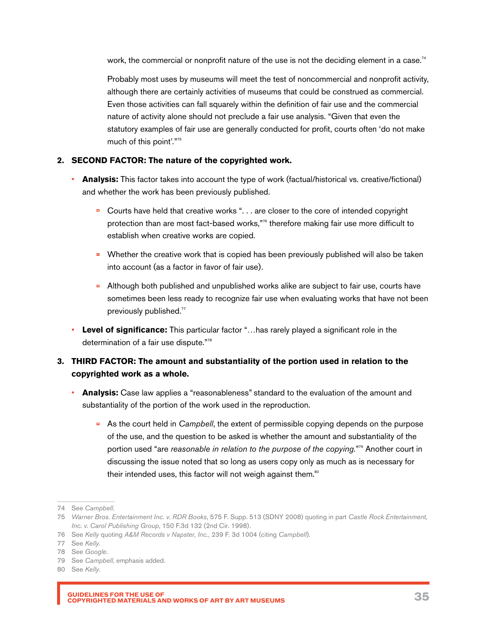work, the commercial or nonprofit nature of the use is not the deciding element in a case.<sup>74</sup>

Probably most uses by museums will meet the test of noncommercial and nonprofit activity, although there are certainly activities of museums that could be construed as commercial. Even those activities can fall squarely within the definition of fair use and the commercial nature of activity alone should not preclude a fair use analysis. "Given that even the statutory examples of fair use are generally conducted for profit, courts often 'do not make much of this point'."75

#### **2. SECOND FACTOR: The nature of the copyrighted work.**

- **Analysis:** This factor takes into account the type of work (factual/historical vs. creative/fictional) and whether the work has been previously published.
	- Courts have held that creative works "... are closer to the core of intended copyright protection than are most fact-based works,"<sup>76</sup> therefore making fair use more difficult to establish when creative works are copied.
	- Whether the creative work that is copied has been previously published will also be taken into account (as a factor in favor of fair use).
	- **Although both published and unpublished works alike are subject to fair use, courts have** sometimes been less ready to recognize fair use when evaluating works that have not been previously published.<sup>77</sup>
- **Level of significance:** This particular factor "…has rarely played a significant role in the determination of a fair use dispute."<sup>78</sup>

#### **3. THIRD FACTOR: The amount and substantiality of the portion used in relation to the copyrighted work as a whole.**

- **Analysis:** Case law applies a "reasonableness" standard to the evaluation of the amount and substantiality of the portion of the work used in the reproduction.
	- As the court held in *Campbell*, the extent of permissible copying depends on the purpose of the use, and the question to be asked is whether the amount and substantiality of the portion used "are *reasonable in relation to the purpose of the copying.*"<sup>79</sup> Another court in discussing the issue noted that so long as users copy only as much as is necessary for their intended uses, this factor will not weigh against them.<sup>80</sup>

<sup>74</sup> See *Campbell*.

<sup>75</sup> *Warner Bros. Entertainment Inc. v. RDR Books*, 575 F. Supp. 513 (SDNY 2008) quoting in part *Castle Rock Entertainment, Inc. v. Carol Publishing Group*, 150 F.3d 132 (2nd Cir. 1998).

<sup>76</sup> See *Kelly* quoting *A&M Records v Napster, Inc.*, 239 F. 3d 1004 (citing *Campbell*)*.*

<sup>77</sup> See *Kelly.*

<sup>78</sup> See *Google*.

<sup>79</sup> See *Campbell*, emphasis added.

<sup>80</sup> See *Kelly*.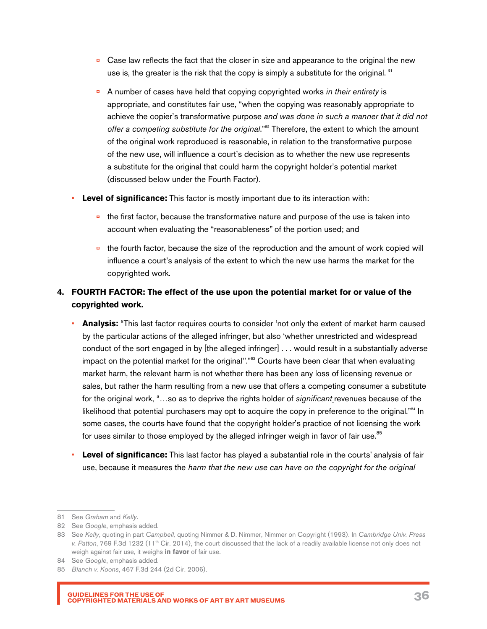- **Case law reflects the fact that the closer in size and appearance to the original the new** use is, the greater is the risk that the copy is simply a substitute for the original. <sup>81</sup>
- A number of cases have held that copying copyrighted works *in their entirety* is appropriate, and constitutes fair use, "when the copying was reasonably appropriate to achieve the copier's transformative purpose *and was done in such a manner that it did not*  offer a competing substitute for the original."<sup>82</sup> Therefore, the extent to which the amount of the original work reproduced is reasonable, in relation to the transformative purpose of the new use, will influence a court's decision as to whether the new use represents a substitute for the original that could harm the copyright holder's potential market (discussed below under the Fourth Factor).
- **Level of significance:** This factor is mostly important due to its interaction with:
	- the first factor, because the transformative nature and purpose of the use is taken into account when evaluating the "reasonableness" of the portion used; and
	- the fourth factor, because the size of the reproduction and the amount of work copied will influence a court's analysis of the extent to which the new use harms the market for the copyrighted work.

#### **4. FOURTH FACTOR: The effect of the use upon the potential market for or value of the copyrighted work.**

- **Analysis:** "This last factor requires courts to consider 'not only the extent of market harm caused by the particular actions of the alleged infringer, but also 'whether unrestricted and widespread conduct of the sort engaged in by [the alleged infringer] . . . would result in a substantially adverse impact on the potential market for the original"."<sup>83</sup> Courts have been clear that when evaluating market harm, the relevant harm is not whether there has been any loss of licensing revenue or sales, but rather the harm resulting from a new use that offers a competing consumer a substitute for the original work, "…so as to deprive the rights holder of *significant* revenues because of the likelihood that potential purchasers may opt to acquire the copy in preference to the original."<sup>84</sup> In some cases, the courts have found that the copyright holder's practice of not licensing the work for uses similar to those employed by the alleged infringer weigh in favor of fair use.<sup>85</sup>
- **Level of significance:** This last factor has played a substantial role in the courts' analysis of fair use, because it measures the *harm that the new use can have on the copyright for the original*

<sup>81</sup> See *Graham* and *Kelly*.

<sup>82</sup> See *Google*, emphasis added.

<sup>83</sup> See *Kelly*, quoting in part *Campbell,* quoting Nimmer & D. Nimmer, Nimmer on Copyright (1993). In *Cambridge Univ. Press v. Patton*, 769 F.3d 1232 (11<sup>th</sup> Cir. 2014), the court discussed that the lack of a readily available license not only does not weigh against fair use, it weighs **in favor** of fair use.

<sup>84</sup> See *Google*, emphasis added.

<sup>85</sup> *Blanch v. Koons*, 467 F.3d 244 (2d Cir. 2006).